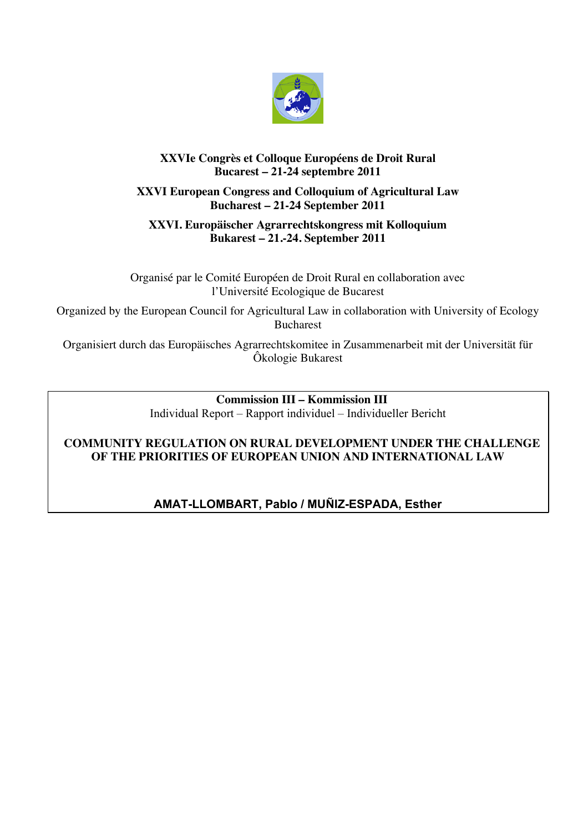

# **XXVIe Congrès et Colloque Européens de Droit Rural Bucarest – 21-24 septembre 2011**

# **XXVI European Congress and Colloquium of Agricultural Law Bucharest – 21-24 September 2011**

## **XXVI. Europäischer Agrarrechtskongress mit Kolloquium Bukarest – 21.-24. September 2011**

Organisé par le Comité Européen de Droit Rural en collaboration avec l'Université Ecologique de Bucarest

Organized by the European Council for Agricultural Law in collaboration with University of Ecology Bucharest

Organisiert durch das Europäisches Agrarrechtskomitee in Zusammenarbeit mit der Universität für Ôkologie Bukarest

> **Commission III – Kommission III** Individual Report – Rapport individuel – Individueller Bericht

# **COMMUNITY REGULATION ON RURAL DEVELOPMENT UNDER THE CHALLENGE OF THE PRIORITIES OF EUROPEAN UNION AND INTERNATIONAL LAW**

# **AMAT-LLOMBART, Pablo / MUÑIZ-ESPADA, Esther**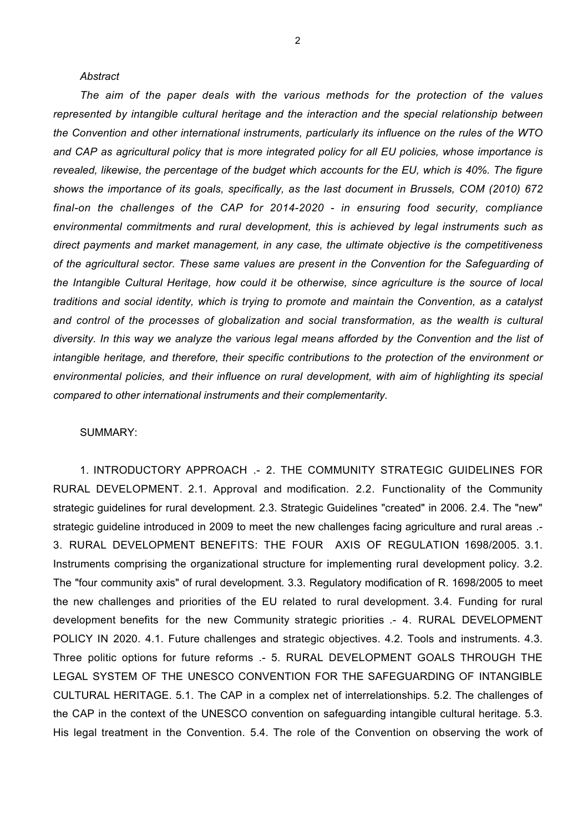### *Abstract*

*The aim of the paper deals with the various methods for the protection of the values represented by intangible cultural heritage and the interaction and the special relationship between the Convention and other international instruments, particularly its influence on the rules of the WTO and CAP as agricultural policy that is more integrated policy for all EU policies, whose importance is revealed, likewise, the percentage of the budget which accounts for the EU, which is 40%. The figure shows the importance of its goals, specifically, as the last document in Brussels, COM (2010) 672 final-on the challenges of the CAP for 2014-2020 - in ensuring food security, compliance environmental commitments and rural development, this is achieved by legal instruments such as direct payments and market management, in any case, the ultimate objective is the competitiveness of the agricultural sector. These same values are present in the Convention for the Safeguarding of the Intangible Cultural Heritage, how could it be otherwise, since agriculture is the source of local traditions and social identity, which is trying to promote and maintain the Convention, as a catalyst and control of the processes of globalization and social transformation, as the wealth is cultural diversity. In this way we analyze the various legal means afforded by the Convention and the list of intangible heritage, and therefore, their specific contributions to the protection of the environment or environmental policies, and their influence on rural development, with aim of highlighting its special compared to other international instruments and their complementarity.*

### SUMMARY:

1. INTRODUCTORY APPROACH .- 2. THE COMMUNITY STRATEGIC GUIDELINES FOR RURAL DEVELOPMENT. 2.1. Approval and modification. 2.2. Functionality of the Community strategic guidelines for rural development. 2.3. Strategic Guidelines "created" in 2006. 2.4. The "new" strategic guideline introduced in 2009 to meet the new challenges facing agriculture and rural areas .- 3. RURAL DEVELOPMENT BENEFITS: THE FOUR AXIS OF REGULATION 1698/2005. 3.1. Instruments comprising the organizational structure for implementing rural development policy. 3.2. The "four community axis" of rural development. 3.3. Regulatory modification of R. 1698/2005 to meet the new challenges and priorities of the EU related to rural development. 3.4. Funding for rural development benefits for the new Community strategic priorities .- 4. RURAL DEVELOPMENT POLICY IN 2020. 4.1. Future challenges and strategic objectives. 4.2. Tools and instruments. 4.3. Three politic options for future reforms .- 5. RURAL DEVELOPMENT GOALS THROUGH THE LEGAL SYSTEM OF THE UNESCO CONVENTION FOR THE SAFEGUARDING OF INTANGIBLE CULTURAL HERITAGE. 5.1. The CAP in a complex net of interrelationships. 5.2. The challenges of the CAP in the context of the UNESCO convention on safeguarding intangible cultural heritage. 5.3. His legal treatment in the Convention. 5.4. The role of the Convention on observing the work of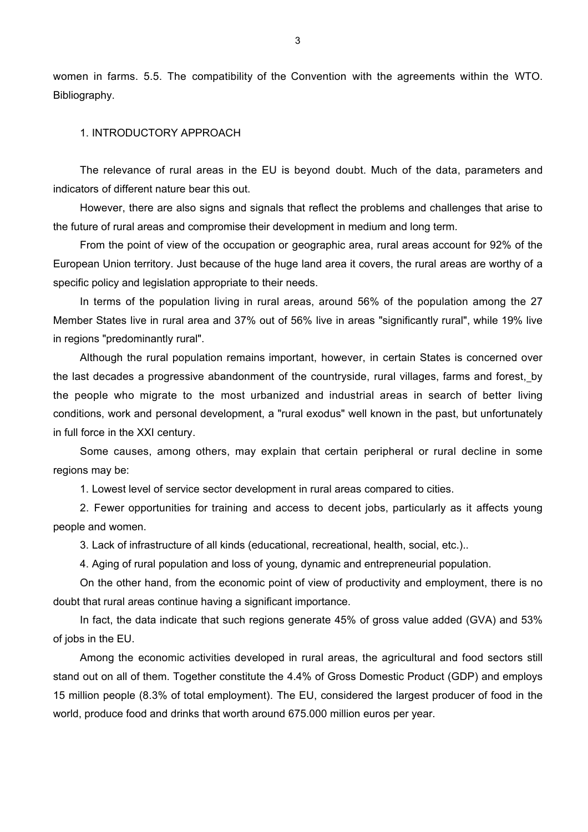women in farms. 5.5. The compatibility of the Convention with the agreements within the WTO. Bibliography.

### 1. INTRODUCTORY APPROACH

The relevance of rural areas in the EU is beyond doubt. Much of the data, parameters and indicators of different nature bear this out.

However, there are also signs and signals that reflect the problems and challenges that arise to the future of rural areas and compromise their development in medium and long term.

From the point of view of the occupation or geographic area, rural areas account for 92% of the European Union territory. Just because of the huge land area it covers, the rural areas are worthy of a specific policy and legislation appropriate to their needs.

In terms of the population living in rural areas, around 56% of the population among the 27 Member States live in rural area and 37% out of 56% live in areas "significantly rural", while 19% live in regions "predominantly rural".

Although the rural population remains important, however, in certain States is concerned over the last decades a progressive abandonment of the countryside, rural villages, farms and forest, by the people who migrate to the most urbanized and industrial areas in search of better living conditions, work and personal development, a "rural exodus" well known in the past, but unfortunately in full force in the XXI century.

Some causes, among others, may explain that certain peripheral or rural decline in some regions may be:

1. Lowest level of service sector development in rural areas compared to cities.

2. Fewer opportunities for training and access to decent jobs, particularly as it affects young people and women.

3. Lack of infrastructure of all kinds (educational, recreational, health, social, etc.)..

4. Aging of rural population and loss of young, dynamic and entrepreneurial population.

On the other hand, from the economic point of view of productivity and employment, there is no doubt that rural areas continue having a significant importance.

In fact, the data indicate that such regions generate 45% of gross value added (GVA) and 53% of jobs in the EU.

Among the economic activities developed in rural areas, the agricultural and food sectors still stand out on all of them. Together constitute the 4.4% of Gross Domestic Product (GDP) and employs 15 million people (8.3% of total employment). The EU, considered the largest producer of food in the world, produce food and drinks that worth around 675.000 million euros per year.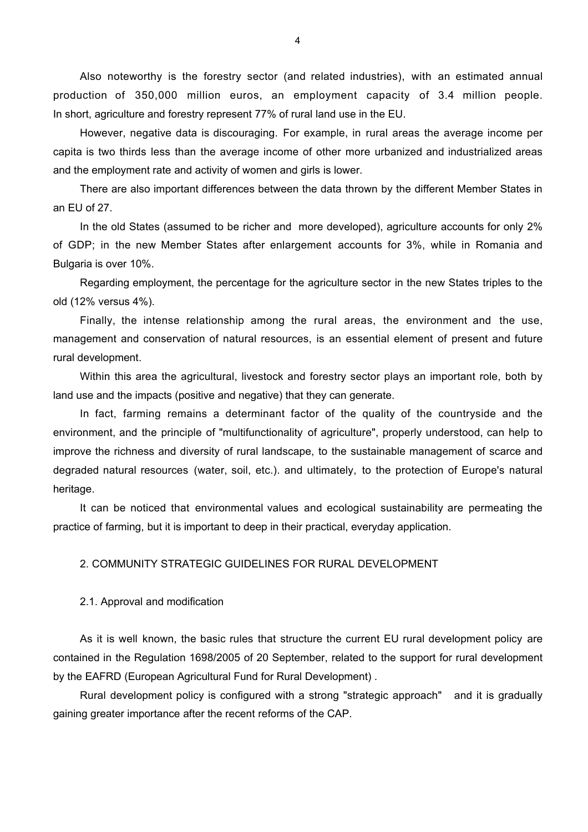Also noteworthy is the forestry sector (and related industries), with an estimated annual production of 350,000 million euros, an employment capacity of 3.4 million people. In short, agriculture and forestry represent 77% of rural land use in the EU.

However, negative data is discouraging. For example, in rural areas the average income per capita is two thirds less than the average income of other more urbanized and industrialized areas and the employment rate and activity of women and girls is lower.

There are also important differences between the data thrown by the different Member States in an EU of 27.

In the old States (assumed to be richer and more developed), agriculture accounts for only 2% of GDP; in the new Member States after enlargement accounts for 3%, while in Romania and Bulgaria is over 10%.

Regarding employment, the percentage for the agriculture sector in the new States triples to the old (12% versus 4%).

Finally, the intense relationship among the rural areas, the environment and the use, management and conservation of natural resources, is an essential element of present and future rural development.

Within this area the agricultural, livestock and forestry sector plays an important role, both by land use and the impacts (positive and negative) that they can generate.

In fact, farming remains a determinant factor of the quality of the countryside and the environment, and the principle of "multifunctionality of agriculture", properly understood, can help to improve the richness and diversity of rural landscape, to the sustainable management of scarce and degraded natural resources (water, soil, etc.). and ultimately, to the protection of Europe's natural heritage.

It can be noticed that environmental values and ecological sustainability are permeating the practice of farming, but it is important to deep in their practical, everyday application.

### 2. COMMUNITY STRATEGIC GUIDELINES FOR RURAL DEVELOPMENT

2.1. Approval and modification

As it is well known, the basic rules that structure the current EU rural development policy are contained in the Regulation 1698/2005 of 20 September, related to the support for rural development by the EAFRD (European Agricultural Fund for Rural Development) .

Rural development policy is configured with a strong "strategic approach" and it is gradually gaining greater importance after the recent reforms of the CAP.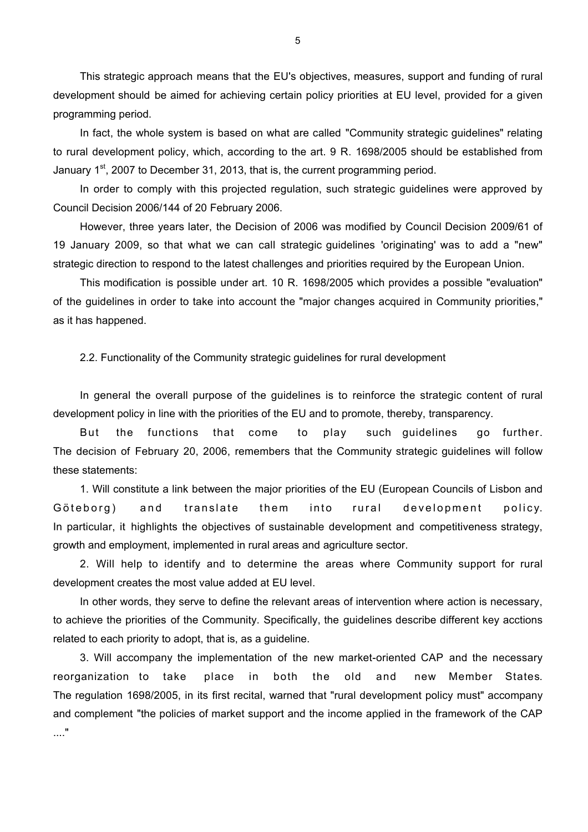This strategic approach means that the EU's objectives, measures, support and funding of rural development should be aimed for achieving certain policy priorities at EU level, provided for a given programming period.

In fact, the whole system is based on what are called "Community strategic guidelines" relating to rural development policy, which, according to the art. 9 R. 1698/2005 should be established from January  $1^{st}$ , 2007 to December 31, 2013, that is, the current programming period.

In order to comply with this projected regulation, such strategic guidelines were approved by Council Decision 2006/144 of 20 February 2006.

However, three years later, the Decision of 2006 was modified by Council Decision 2009/61 of 19 January 2009, so that what we can call strategic guidelines 'originating' was to add a "new" strategic direction to respond to the latest challenges and priorities required by the European Union.

This modification is possible under art. 10 R. 1698/2005 which provides a possible "evaluation" of the guidelines in order to take into account the "major changes acquired in Community priorities," as it has happened.

2.2. Functionality of the Community strategic guidelines for rural development

In general the overall purpose of the guidelines is to reinforce the strategic content of rural development policy in line with the priorities of the EU and to promote, thereby, transparency.

But the functions that come to play such guidelines go further. The decision of February 20, 2006, remembers that the Community strategic guidelines will follow these statements:

1. Will constitute a link between the major priorities of the EU (European Councils of Lisbon and Göteborg) and translate them into rural development policy. In particular, it highlights the objectives of sustainable development and competitiveness strategy, growth and employment, implemented in rural areas and agriculture sector.

2. Will help to identify and to determine the areas where Community support for rural development creates the most value added at EU level.

In other words, they serve to define the relevant areas of intervention where action is necessary, to achieve the priorities of the Community. Specifically, the guidelines describe different key acctions related to each priority to adopt, that is, as a guideline.

3. Will accompany the implementation of the new market-oriented CAP and the necessary reorganization to take place in both the old and new Member States. The regulation 1698/2005, in its first recital, warned that "rural development policy must" accompany and complement "the policies of market support and the income applied in the framework of the CAP ...."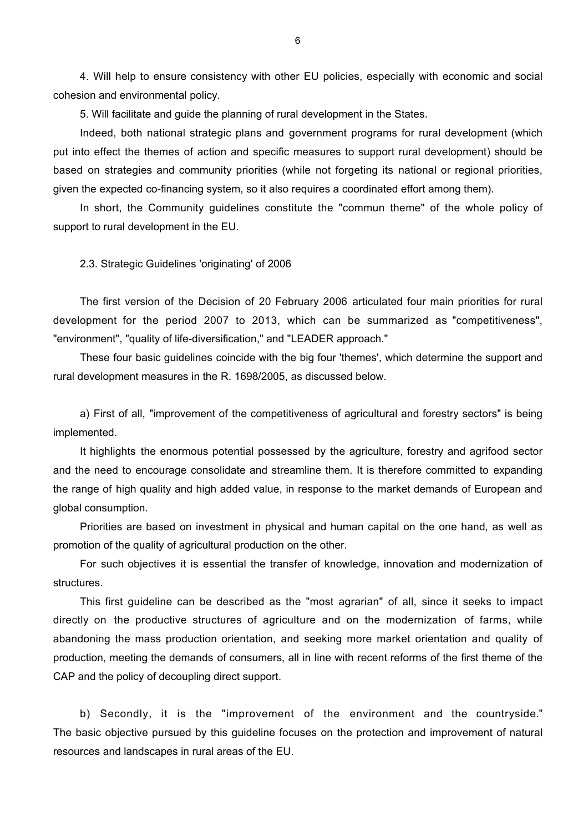4. Will help to ensure consistency with other EU policies, especially with economic and social cohesion and environmental policy.

5. Will facilitate and guide the planning of rural development in the States.

Indeed, both national strategic plans and government programs for rural development (which put into effect the themes of action and specific measures to support rural development) should be based on strategies and community priorities (while not forgeting its national or regional priorities, given the expected co-financing system, so it also requires a coordinated effort among them).

In short, the Community guidelines constitute the "commun theme" of the whole policy of support to rural development in the EU.

### 2.3. Strategic Guidelines 'originating' of 2006

The first version of the Decision of 20 February 2006 articulated four main priorities for rural development for the period 2007 to 2013, which can be summarized as "competitiveness", "environment", "quality of life-diversification," and "LEADER approach."

These four basic guidelines coincide with the big four 'themes', which determine the support and rural development measures in the R. 1698/2005, as discussed below.

a) First of all, "improvement of the competitiveness of agricultural and forestry sectors" is being implemented.

It highlights the enormous potential possessed by the agriculture, forestry and agrifood sector and the need to encourage consolidate and streamline them. It is therefore committed to expanding the range of high quality and high added value, in response to the market demands of European and global consumption.

Priorities are based on investment in physical and human capital on the one hand, as well as promotion of the quality of agricultural production on the other.

For such objectives it is essential the transfer of knowledge, innovation and modernization of structures.

This first guideline can be described as the "most agrarian" of all, since it seeks to impact directly on the productive structures of agriculture and on the modernization of farms, while abandoning the mass production orientation, and seeking more market orientation and quality of production, meeting the demands of consumers, all in line with recent reforms of the first theme of the CAP and the policy of decoupling direct support.

b) Secondly, it is the "improvement of the environment and the countryside." The basic objective pursued by this guideline focuses on the protection and improvement of natural resources and landscapes in rural areas of the EU.

6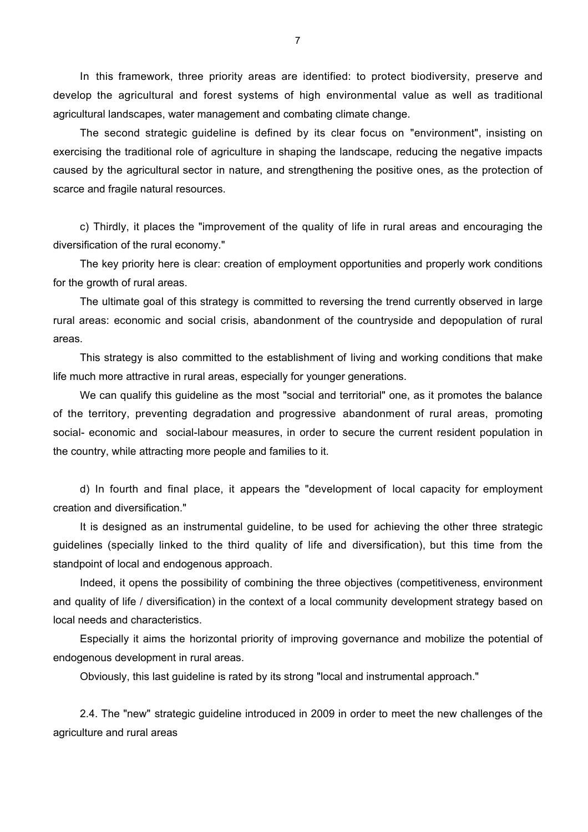In this framework, three priority areas are identified: to protect biodiversity, preserve and develop the agricultural and forest systems of high environmental value as well as traditional agricultural landscapes, water management and combating climate change.

The second strategic guideline is defined by its clear focus on "environment", insisting on exercising the traditional role of agriculture in shaping the landscape, reducing the negative impacts caused by the agricultural sector in nature, and strengthening the positive ones, as the protection of scarce and fragile natural resources.

c) Thirdly, it places the "improvement of the quality of life in rural areas and encouraging the diversification of the rural economy."

The key priority here is clear: creation of employment opportunities and properly work conditions for the growth of rural areas.

The ultimate goal of this strategy is committed to reversing the trend currently observed in large rural areas: economic and social crisis, abandonment of the countryside and depopulation of rural areas.

This strategy is also committed to the establishment of living and working conditions that make life much more attractive in rural areas, especially for younger generations.

We can qualify this guideline as the most "social and territorial" one, as it promotes the balance of the territory, preventing degradation and progressive abandonment of rural areas, promoting social- economic and social-labour measures, in order to secure the current resident population in the country, while attracting more people and families to it.

d) In fourth and final place, it appears the "development of local capacity for employment creation and diversification."

It is designed as an instrumental guideline, to be used for achieving the other three strategic guidelines (specially linked to the third quality of life and diversification), but this time from the standpoint of local and endogenous approach.

Indeed, it opens the possibility of combining the three objectives (competitiveness, environment and quality of life / diversification) in the context of a local community development strategy based on local needs and characteristics.

Especially it aims the horizontal priority of improving governance and mobilize the potential of endogenous development in rural areas.

Obviously, this last guideline is rated by its strong "local and instrumental approach."

2.4. The "new" strategic guideline introduced in 2009 in order to meet the new challenges of the agriculture and rural areas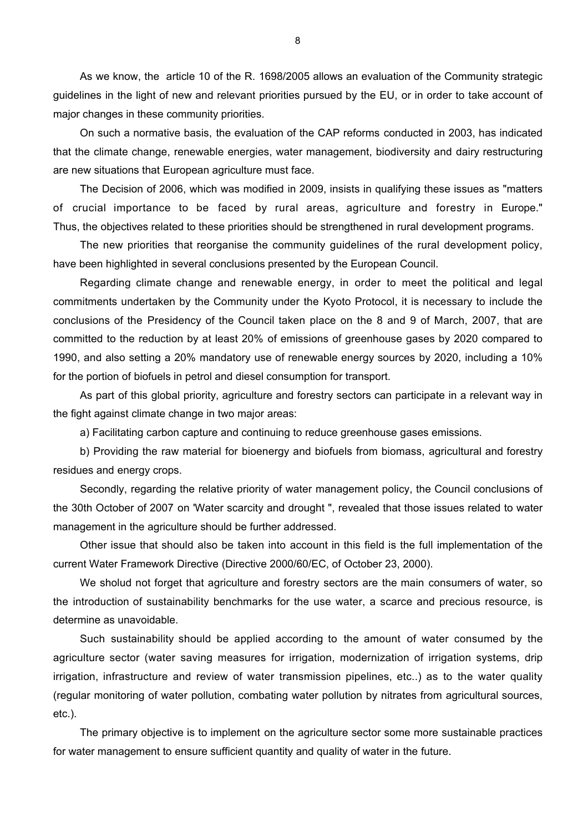As we know, the article 10 of the R. 1698/2005 allows an evaluation of the Community strategic guidelines in the light of new and relevant priorities pursued by the EU, or in order to take account of major changes in these community priorities.

On such a normative basis, the evaluation of the CAP reforms conducted in 2003, has indicated that the climate change, renewable energies, water management, biodiversity and dairy restructuring are new situations that European agriculture must face.

The Decision of 2006, which was modified in 2009, insists in qualifying these issues as "matters of crucial importance to be faced by rural areas, agriculture and forestry in Europe." Thus, the objectives related to these priorities should be strengthened in rural development programs.

The new priorities that reorganise the community guidelines of the rural development policy, have been highlighted in several conclusions presented by the European Council.

Regarding climate change and renewable energy, in order to meet the political and legal commitments undertaken by the Community under the Kyoto Protocol, it is necessary to include the conclusions of the Presidency of the Council taken place on the 8 and 9 of March, 2007, that are committed to the reduction by at least 20% of emissions of greenhouse gases by 2020 compared to 1990, and also setting a 20% mandatory use of renewable energy sources by 2020, including a 10% for the portion of biofuels in petrol and diesel consumption for transport.

As part of this global priority, agriculture and forestry sectors can participate in a relevant way in the fight against climate change in two major areas:

a) Facilitating carbon capture and continuing to reduce greenhouse gases emissions.

b) Providing the raw material for bioenergy and biofuels from biomass, agricultural and forestry residues and energy crops.

Secondly, regarding the relative priority of water management policy, the Council conclusions of the 30th October of 2007 on 'Water scarcity and drought ", revealed that those issues related to water management in the agriculture should be further addressed.

Other issue that should also be taken into account in this field is the full implementation of the current Water Framework Directive (Directive 2000/60/EC, of October 23, 2000).

We sholud not forget that agriculture and forestry sectors are the main consumers of water, so the introduction of sustainability benchmarks for the use water, a scarce and precious resource, is determine as unavoidable.

Such sustainability should be applied according to the amount of water consumed by the agriculture sector (water saving measures for irrigation, modernization of irrigation systems, drip irrigation, infrastructure and review of water transmission pipelines, etc..) as to the water quality (regular monitoring of water pollution, combating water pollution by nitrates from agricultural sources, etc.).

The primary objective is to implement on the agriculture sector some more sustainable practices for water management to ensure sufficient quantity and quality of water in the future.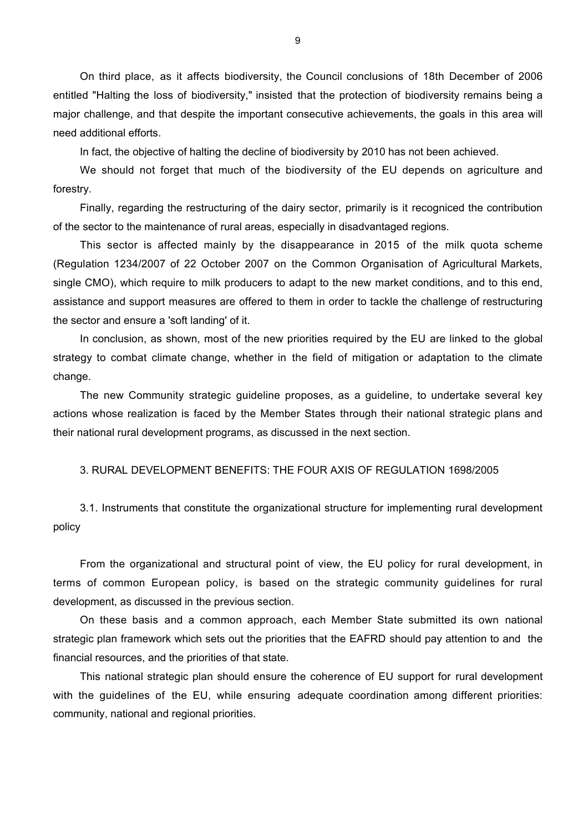On third place, as it affects biodiversity, the Council conclusions of 18th December of 2006 entitled "Halting the loss of biodiversity," insisted that the protection of biodiversity remains being a major challenge, and that despite the important consecutive achievements, the goals in this area will need additional efforts.

In fact, the objective of halting the decline of biodiversity by 2010 has not been achieved.

We should not forget that much of the biodiversity of the EU depends on agriculture and forestry.

Finally, regarding the restructuring of the dairy sector, primarily is it recogniced the contribution of the sector to the maintenance of rural areas, especially in disadvantaged regions.

This sector is affected mainly by the disappearance in 2015 of the milk quota scheme (Regulation 1234/2007 of 22 October 2007 on the Common Organisation of Agricultural Markets, single CMO), which require to milk producers to adapt to the new market conditions, and to this end, assistance and support measures are offered to them in order to tackle the challenge of restructuring the sector and ensure a 'soft landing' of it.

In conclusion, as shown, most of the new priorities required by the EU are linked to the global strategy to combat climate change, whether in the field of mitigation or adaptation to the climate change.

The new Community strategic guideline proposes, as a guideline, to undertake several key actions whose realization is faced by the Member States through their national strategic plans and their national rural development programs, as discussed in the next section.

### 3. RURAL DEVELOPMENT BENEFITS: THE FOUR AXIS OF REGULATION 1698/2005

3.1. Instruments that constitute the organizational structure for implementing rural development policy

From the organizational and structural point of view, the EU policy for rural development, in terms of common European policy, is based on the strategic community guidelines for rural development, as discussed in the previous section.

On these basis and a common approach, each Member State submitted its own national strategic plan framework which sets out the priorities that the EAFRD should pay attention to and the financial resources, and the priorities of that state.

This national strategic plan should ensure the coherence of EU support for rural development with the guidelines of the EU, while ensuring adequate coordination among different priorities: community, national and regional priorities.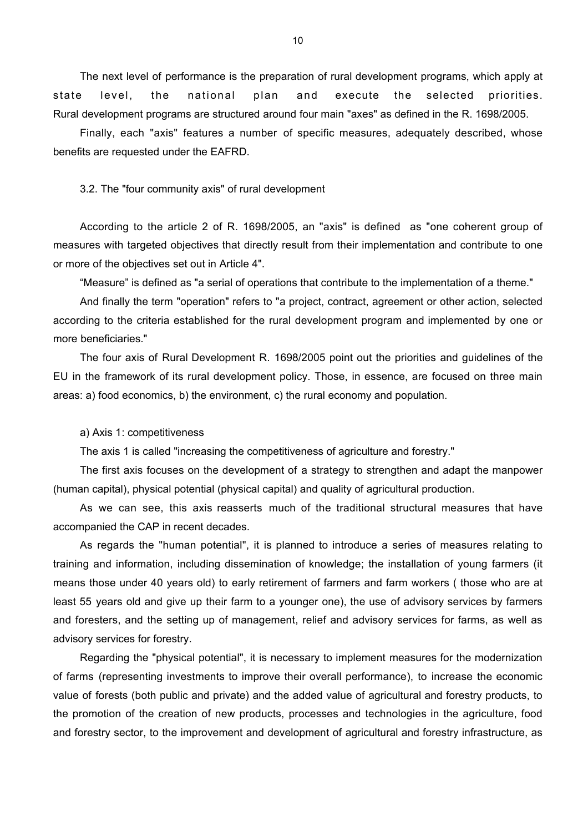The next level of performance is the preparation of rural development programs, which apply at state level, the national plan and execute the selected priorities. Rural development programs are structured around four main "axes" as defined in the R. 1698/2005.

Finally, each "axis" features a number of specific measures, adequately described, whose benefits are requested under the EAFRD.

3.2. The "four community axis" of rural development

According to the article 2 of R. 1698/2005, an "axis" is defined as "one coherent group of measures with targeted objectives that directly result from their implementation and contribute to one or more of the objectives set out in Article 4".

"Measure" is defined as "a serial of operations that contribute to the implementation of a theme."

And finally the term "operation" refers to "a project, contract, agreement or other action, selected according to the criteria established for the rural development program and implemented by one or more beneficiaries."

The four axis of Rural Development R. 1698/2005 point out the priorities and guidelines of the EU in the framework of its rural development policy. Those, in essence, are focused on three main areas: a) food economics, b) the environment, c) the rural economy and population.

a) Axis 1: competitiveness

The axis 1 is called "increasing the competitiveness of agriculture and forestry."

The first axis focuses on the development of a strategy to strengthen and adapt the manpower (human capital), physical potential (physical capital) and quality of agricultural production.

As we can see, this axis reasserts much of the traditional structural measures that have accompanied the CAP in recent decades.

As regards the "human potential", it is planned to introduce a series of measures relating to training and information, including dissemination of knowledge; the installation of young farmers (it means those under 40 years old) to early retirement of farmers and farm workers ( those who are at least 55 years old and give up their farm to a younger one), the use of advisory services by farmers and foresters, and the setting up of management, relief and advisory services for farms, as well as advisory services for forestry.

Regarding the "physical potential", it is necessary to implement measures for the modernization of farms (representing investments to improve their overall performance), to increase the economic value of forests (both public and private) and the added value of agricultural and forestry products, to the promotion of the creation of new products, processes and technologies in the agriculture, food and forestry sector, to the improvement and development of agricultural and forestry infrastructure, as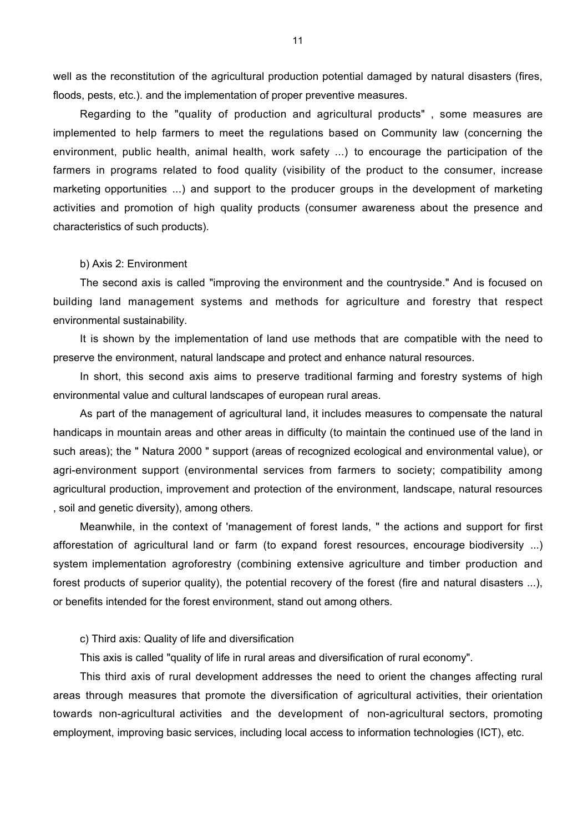well as the reconstitution of the agricultural production potential damaged by natural disasters (fires, floods, pests, etc.). and the implementation of proper preventive measures.

Regarding to the "quality of production and agricultural products" , some measures are implemented to help farmers to meet the regulations based on Community law (concerning the environment, public health, animal health, work safety ...) to encourage the participation of the farmers in programs related to food quality (visibility of the product to the consumer, increase marketing opportunities ...) and support to the producer groups in the development of marketing activities and promotion of high quality products (consumer awareness about the presence and characteristics of such products).

### b) Axis 2: Environment

The second axis is called "improving the environment and the countryside." And is focused on building land management systems and methods for agriculture and forestry that respect environmental sustainability.

It is shown by the implementation of land use methods that are compatible with the need to preserve the environment, natural landscape and protect and enhance natural resources.

In short, this second axis aims to preserve traditional farming and forestry systems of high environmental value and cultural landscapes of european rural areas.

As part of the management of agricultural land, it includes measures to compensate the natural handicaps in mountain areas and other areas in difficulty (to maintain the continued use of the land in such areas); the " Natura 2000 " support (areas of recognized ecological and environmental value), or agri-environment support (environmental services from farmers to society; compatibility among agricultural production, improvement and protection of the environment, landscape, natural resources , soil and genetic diversity), among others.

Meanwhile, in the context of 'management of forest lands, " the actions and support for first afforestation of agricultural land or farm (to expand forest resources, encourage biodiversity ...) system implementation agroforestry (combining extensive agriculture and timber production and forest products of superior quality), the potential recovery of the forest (fire and natural disasters ...), or benefits intended for the forest environment, stand out among others.

c) Third axis: Quality of life and diversification

This axis is called "quality of life in rural areas and diversification of rural economy".

This third axis of rural development addresses the need to orient the changes affecting rural areas through measures that promote the diversification of agricultural activities, their orientation towards non-agricultural activities and the development of non-agricultural sectors, promoting employment, improving basic services, including local access to information technologies (ICT), etc.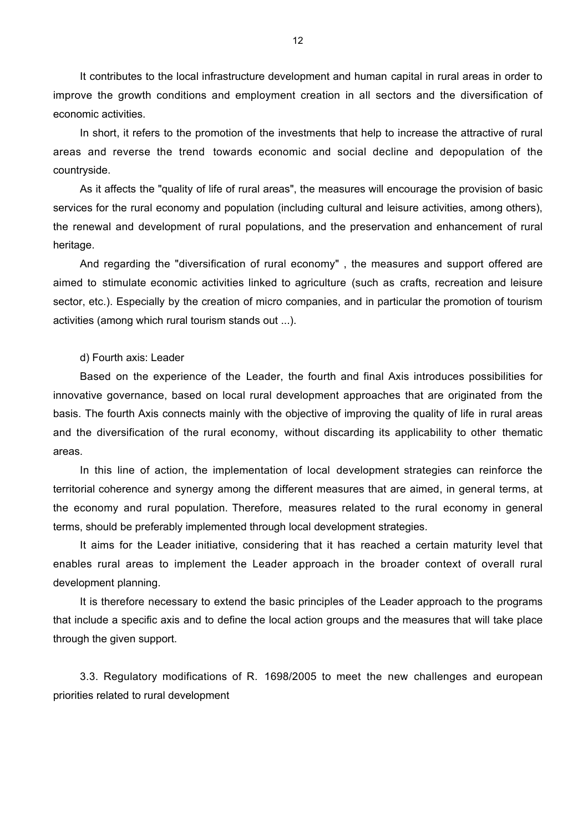It contributes to the local infrastructure development and human capital in rural areas in order to improve the growth conditions and employment creation in all sectors and the diversification of economic activities.

In short, it refers to the promotion of the investments that help to increase the attractive of rural areas and reverse the trend towards economic and social decline and depopulation of the countryside.

As it affects the "quality of life of rural areas", the measures will encourage the provision of basic services for the rural economy and population (including cultural and leisure activities, among others), the renewal and development of rural populations, and the preservation and enhancement of rural heritage.

And regarding the "diversification of rural economy" , the measures and support offered are aimed to stimulate economic activities linked to agriculture (such as crafts, recreation and leisure sector, etc.). Especially by the creation of micro companies, and in particular the promotion of tourism activities (among which rural tourism stands out ...).

### d) Fourth axis: Leader

Based on the experience of the Leader, the fourth and final Axis introduces possibilities for innovative governance, based on local rural development approaches that are originated from the basis. The fourth Axis connects mainly with the objective of improving the quality of life in rural areas and the diversification of the rural economy, without discarding its applicability to other thematic areas.

In this line of action, the implementation of local development strategies can reinforce the territorial coherence and synergy among the different measures that are aimed, in general terms, at the economy and rural population. Therefore, measures related to the rural economy in general terms, should be preferably implemented through local development strategies.

It aims for the Leader initiative, considering that it has reached a certain maturity level that enables rural areas to implement the Leader approach in the broader context of overall rural development planning.

It is therefore necessary to extend the basic principles of the Leader approach to the programs that include a specific axis and to define the local action groups and the measures that will take place through the given support.

3.3. Regulatory modifications of R. 1698/2005 to meet the new challenges and european priorities related to rural development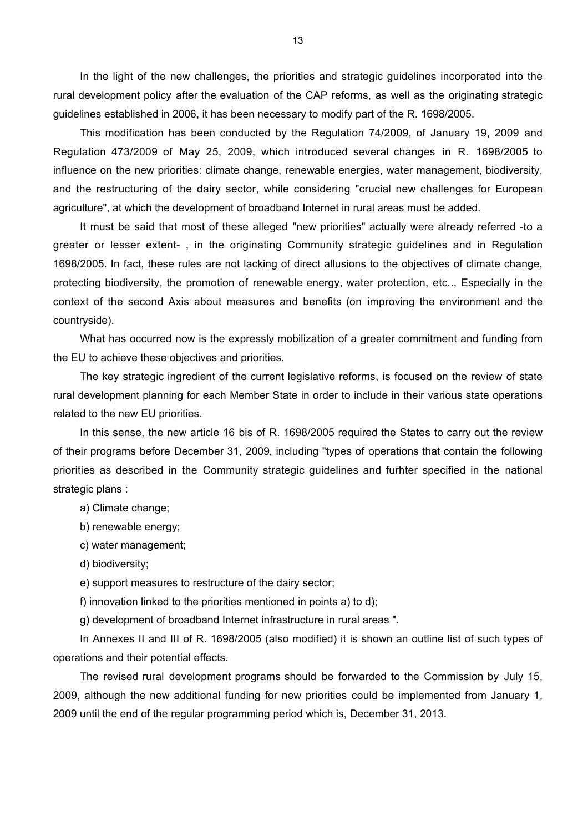In the light of the new challenges, the priorities and strategic guidelines incorporated into the rural development policy after the evaluation of the CAP reforms, as well as the originating strategic guidelines established in 2006, it has been necessary to modify part of the R. 1698/2005.

This modification has been conducted by the Regulation 74/2009, of January 19, 2009 and Regulation 473/2009 of May 25, 2009, which introduced several changes in R. 1698/2005 to influence on the new priorities: climate change, renewable energies, water management, biodiversity, and the restructuring of the dairy sector, while considering "crucial new challenges for European agriculture", at which the development of broadband Internet in rural areas must be added.

It must be said that most of these alleged "new priorities" actually were already referred -to a greater or lesser extent- , in the originating Community strategic guidelines and in Regulation 1698/2005. In fact, these rules are not lacking of direct allusions to the objectives of climate change, protecting biodiversity, the promotion of renewable energy, water protection, etc.., Especially in the context of the second Axis about measures and benefits (on improving the environment and the countryside).

What has occurred now is the expressly mobilization of a greater commitment and funding from the EU to achieve these objectives and priorities.

The key strategic ingredient of the current legislative reforms, is focused on the review of state rural development planning for each Member State in order to include in their various state operations related to the new EU priorities.

In this sense, the new article 16 bis of R. 1698/2005 required the States to carry out the review of their programs before December 31, 2009, including "types of operations that contain the following priorities as described in the Community strategic guidelines and furhter specified in the national strategic plans :

a) Climate change;

b) renewable energy;

c) water management;

d) biodiversity;

e) support measures to restructure of the dairy sector;

f) innovation linked to the priorities mentioned in points a) to d);

g) development of broadband Internet infrastructure in rural areas ".

In Annexes II and III of R. 1698/2005 (also modified) it is shown an outline list of such types of operations and their potential effects.

The revised rural development programs should be forwarded to the Commission by July 15, 2009, although the new additional funding for new priorities could be implemented from January 1, 2009 until the end of the regular programming period which is, December 31, 2013.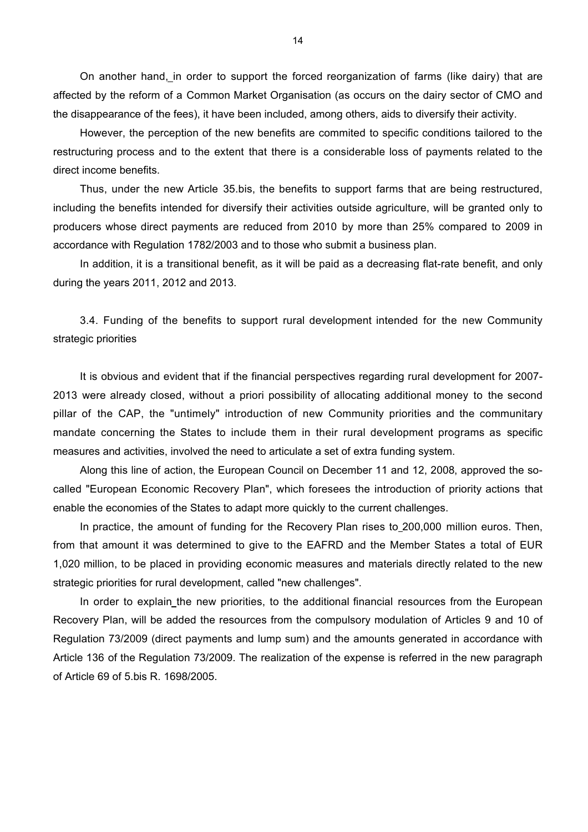On another hand, in order to support the forced reorganization of farms (like dairy) that are affected by the reform of a Common Market Organisation (as occurs on the dairy sector of CMO and the disappearance of the fees), it have been included, among others, aids to diversify their activity.

However, the perception of the new benefits are commited to specific conditions tailored to the restructuring process and to the extent that there is a considerable loss of payments related to the direct income benefits.

Thus, under the new Article 35.bis, the benefits to support farms that are being restructured, including the benefits intended for diversify their activities outside agriculture, will be granted only to producers whose direct payments are reduced from 2010 by more than 25% compared to 2009 in accordance with Regulation 1782/2003 and to those who submit a business plan.

In addition, it is a transitional benefit, as it will be paid as a decreasing flat-rate benefit, and only during the years 2011, 2012 and 2013.

3.4. Funding of the benefits to support rural development intended for the new Community strategic priorities

It is obvious and evident that if the financial perspectives regarding rural development for 2007- 2013 were already closed, without a priori possibility of allocating additional money to the second pillar of the CAP, the "untimely" introduction of new Community priorities and the communitary mandate concerning the States to include them in their rural development programs as specific measures and activities, involved the need to articulate a set of extra funding system.

Along this line of action, the European Council on December 11 and 12, 2008, approved the socalled "European Economic Recovery Plan", which foresees the introduction of priority actions that enable the economies of the States to adapt more quickly to the current challenges.

In practice, the amount of funding for the Recovery Plan rises to 200,000 million euros. Then, from that amount it was determined to give to the EAFRD and the Member States a total of EUR 1,020 million, to be placed in providing economic measures and materials directly related to the new strategic priorities for rural development, called "new challenges".

In order to explain the new priorities, to the additional financial resources from the European Recovery Plan, will be added the resources from the compulsory modulation of Articles 9 and 10 of Regulation 73/2009 (direct payments and lump sum) and the amounts generated in accordance with Article 136 of the Regulation 73/2009. The realization of the expense is referred in the new paragraph of Article 69 of 5.bis R. 1698/2005.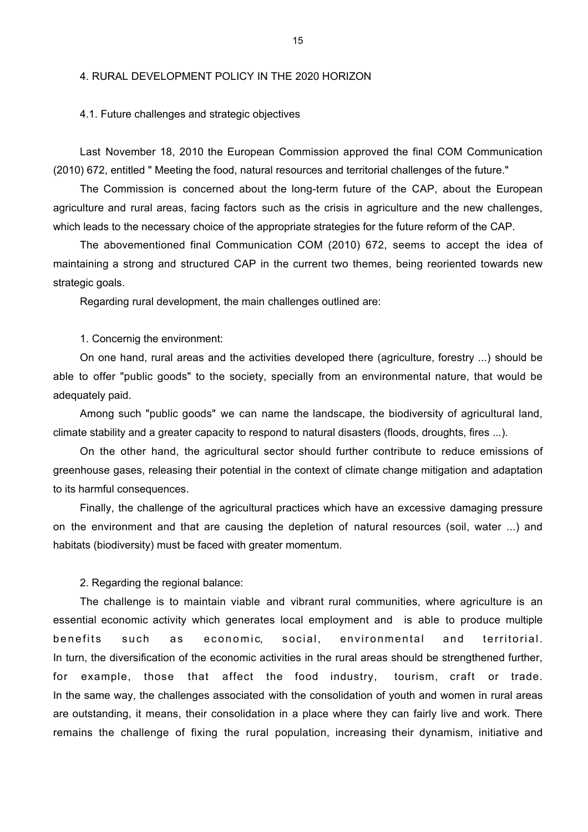### 4. RURAL DEVELOPMENT POLICY IN THE 2020 HORIZON

### 4.1. Future challenges and strategic objectives

Last November 18, 2010 the European Commission approved the final COM Communication (2010) 672, entitled " Meeting the food, natural resources and territorial challenges of the future."

The Commission is concerned about the long-term future of the CAP, about the European agriculture and rural areas, facing factors such as the crisis in agriculture and the new challenges, which leads to the necessary choice of the appropriate strategies for the future reform of the CAP.

The abovementioned final Communication COM (2010) 672, seems to accept the idea of maintaining a strong and structured CAP in the current two themes, being reoriented towards new strategic goals.

Regarding rural development, the main challenges outlined are:

1. Concernig the environment:

On one hand, rural areas and the activities developed there (agriculture, forestry ...) should be able to offer "public goods" to the society, specially from an environmental nature, that would be adequately paid.

Among such "public goods" we can name the landscape, the biodiversity of agricultural land, climate stability and a greater capacity to respond to natural disasters (floods, droughts, fires ...).

On the other hand, the agricultural sector should further contribute to reduce emissions of greenhouse gases, releasing their potential in the context of climate change mitigation and adaptation to its harmful consequences.

Finally, the challenge of the agricultural practices which have an excessive damaging pressure on the environment and that are causing the depletion of natural resources (soil, water ...) and habitats (biodiversity) must be faced with greater momentum.

2. Regarding the regional balance:

The challenge is to maintain viable and vibrant rural communities, where agriculture is an essential economic activity which generates local employment and is able to produce multiple benefits such as economic, social, environmental and territorial. In turn, the diversification of the economic activities in the rural areas should be strengthened further, for example, those that affect the food industry, tourism, craft or trade. In the same way, the challenges associated with the consolidation of youth and women in rural areas are outstanding, it means, their consolidation in a place where they can fairly live and work. There remains the challenge of fixing the rural population, increasing their dynamism, initiative and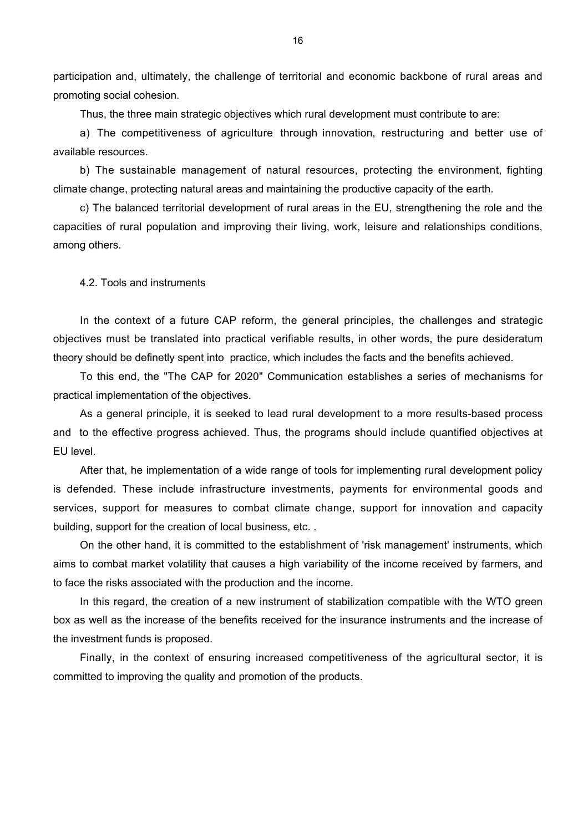participation and, ultimately, the challenge of territorial and economic backbone of rural areas and promoting social cohesion.

Thus, the three main strategic objectives which rural development must contribute to are:

a) The competitiveness of agriculture through innovation, restructuring and better use of available resources.

b) The sustainable management of natural resources, protecting the environment, fighting climate change, protecting natural areas and maintaining the productive capacity of the earth.

c) The balanced territorial development of rural areas in the EU, strengthening the role and the capacities of rural population and improving their living, work, leisure and relationships conditions, among others.

4.2. Tools and instruments

In the context of a future CAP reform, the general principles, the challenges and strategic objectives must be translated into practical verifiable results, in other words, the pure desideratum theory should be definetly spent into practice, which includes the facts and the benefits achieved.

To this end, the "The CAP for 2020" Communication establishes a series of mechanisms for practical implementation of the objectives.

As a general principle, it is seeked to lead rural development to a more results-based process and to the effective progress achieved. Thus, the programs should include quantified objectives at EU level.

After that, he implementation of a wide range of tools for implementing rural development policy is defended. These include infrastructure investments, payments for environmental goods and services, support for measures to combat climate change, support for innovation and capacity building, support for the creation of local business, etc. .

On the other hand, it is committed to the establishment of 'risk management' instruments, which aims to combat market volatility that causes a high variability of the income received by farmers, and to face the risks associated with the production and the income.

In this regard, the creation of a new instrument of stabilization compatible with the WTO green box as well as the increase of the benefits received for the insurance instruments and the increase of the investment funds is proposed.

Finally, in the context of ensuring increased competitiveness of the agricultural sector, it is committed to improving the quality and promotion of the products.

16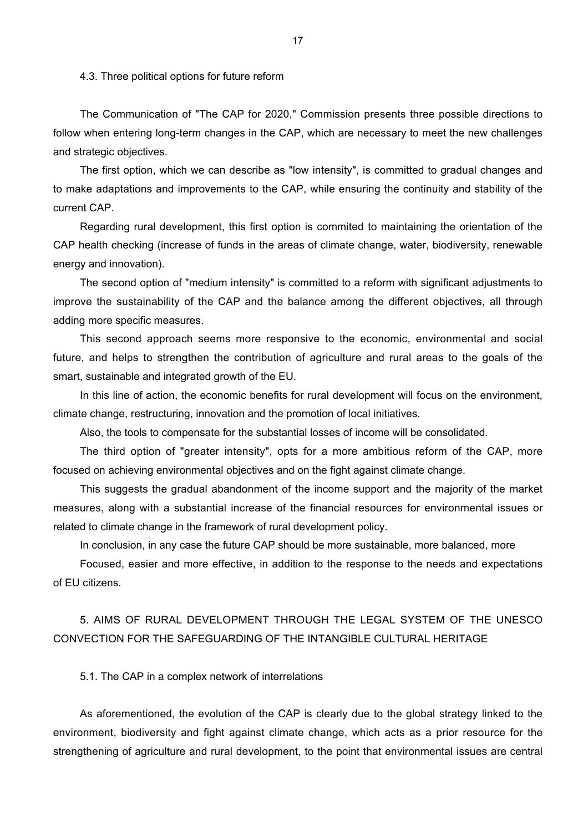#### 4.3. Three political options for future reform

The Communication of "The CAP for 2020," Commission presents three possible directions to follow when entering long-term changes in the CAP, which are necessary to meet the new challenges and strategic objectives.

The first option, which we can describe as "low intensity", is committed to gradual changes and to make adaptations and improvements to the CAP, while ensuring the continuity and stability of the current CAP.

Regarding rural development, this first option is commited to maintaining the orientation of the CAP health checking (increase of funds in the areas of climate change, water, biodiversity, renewable energy and innovation).

The second option of "medium intensity" is committed to a reform with significant adjustments to improve the sustainability of the CAP and the balance among the different objectives, all through adding more specific measures.

This second approach seems more responsive to the economic, environmental and social future, and helps to strengthen the contribution of agriculture and rural areas to the goals of the smart, sustainable and integrated growth of the EU.

In this line of action, the economic benefits for rural development will focus on the environment, climate change, restructuring, innovation and the promotion of local initiatives.

Also, the tools to compensate for the substantial losses of income will be consolidated.

The third option of "greater intensity", opts for a more ambitious reform of the CAP, more focused on achieving environmental objectives and on the fight against climate change.

This suggests the gradual abandonment of the income support and the majority of the market measures, along with a substantial increase of the financial resources for environmental issues or related to climate change in the framework of rural development policy.

In conclusion, in any case the future CAP should be more sustainable, more balanced, more

Focused, easier and more effective, in addition to the response to the needs and expectations of EU citizens.

5. AIMS OF RURAL DEVELOPMENT THROUGH THE LEGAL SYSTEM OF THE UNESCO CONVECTION FOR THE SAFEGUARDING OF THE INTANGIBLE CULTURAL HERITAGE

5.1. The CAP in a complex network of interrelations

As aforementioned, the evolution of the CAP is clearly due to the global strategy linked to the environment, biodiversity and fight against climate change, which acts as a prior resource for the strengthening of agriculture and rural development, to the point that environmental issues are central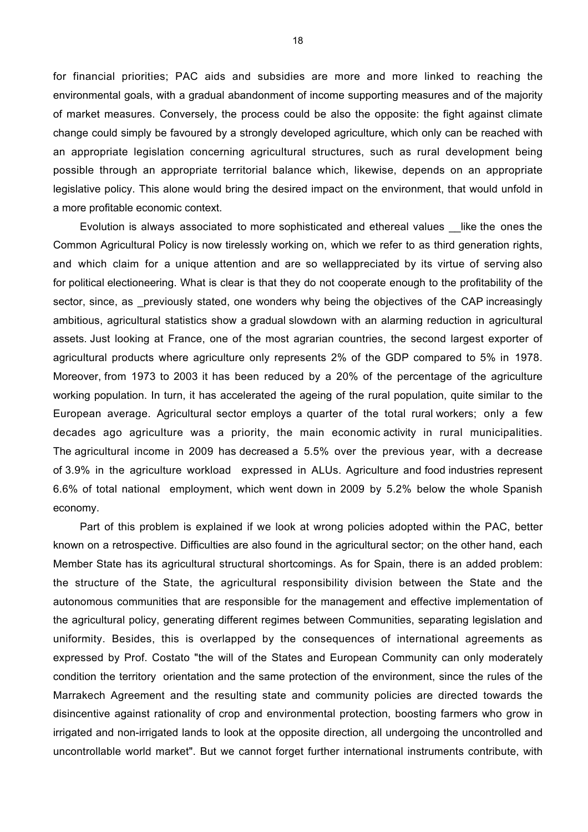for financial priorities; PAC aids and subsidies are more and more linked to reaching the environmental goals, with a gradual abandonment of income supporting measures and of the majority of market measures. Conversely, the process could be also the opposite: the fight against climate change could simply be favoured by a strongly developed agriculture, which only can be reached with an appropriate legislation concerning agricultural structures, such as rural development being possible through an appropriate territorial balance which, likewise, depends on an appropriate legislative policy. This alone would bring the desired impact on the environment, that would unfold in a more profitable economic context.

Evolution is always associated to more sophisticated and ethereal values Like the ones the Common Agricultural Policy is now tirelessly working on, which we refer to as third generation rights, and which claim for a unique attention and are so wellappreciated by its virtue of serving also for political electioneering. What is clear is that they do not cooperate enough to the profitability of the sector, since, as previously stated, one wonders why being the objectives of the CAP increasingly ambitious, agricultural statistics show a gradual slowdown with an alarming reduction in agricultural assets. Just looking at France, one of the most agrarian countries, the second largest exporter of agricultural products where agriculture only represents 2% of the GDP compared to 5% in 1978. Moreover, from 1973 to 2003 it has been reduced by a 20% of the percentage of the agriculture working population. In turn, it has accelerated the ageing of the rural population, quite similar to the European average. Agricultural sector employs a quarter of the total rural workers; only a few decades ago agriculture was a priority, the main economic activity in rural municipalities. The agricultural income in 2009 has decreased a 5.5% over the previous year, with a decrease of 3.9% in the agriculture workload expressed in ALUs. Agriculture and food industries represent 6.6% of total national employment, which went down in 2009 by 5.2% below the whole Spanish economy.

Part of this problem is explained if we look at wrong policies adopted within the PAC, better known on a retrospective. Difficulties are also found in the agricultural sector; on the other hand, each Member State has its agricultural structural shortcomings. As for Spain, there is an added problem: the structure of the State, the agricultural responsibility division between the State and the autonomous communities that are responsible for the management and effective implementation of the agricultural policy, generating different regimes between Communities, separating legislation and uniformity. Besides, this is overlapped by the consequences of international agreements as expressed by Prof. Costato "the will of the States and European Community can only moderately condition the territory orientation and the same protection of the environment, since the rules of the Marrakech Agreement and the resulting state and community policies are directed towards the disincentive against rationality of crop and environmental protection, boosting farmers who grow in irrigated and non-irrigated lands to look at the opposite direction, all undergoing the uncontrolled and uncontrollable world market". But we cannot forget further international instruments contribute, with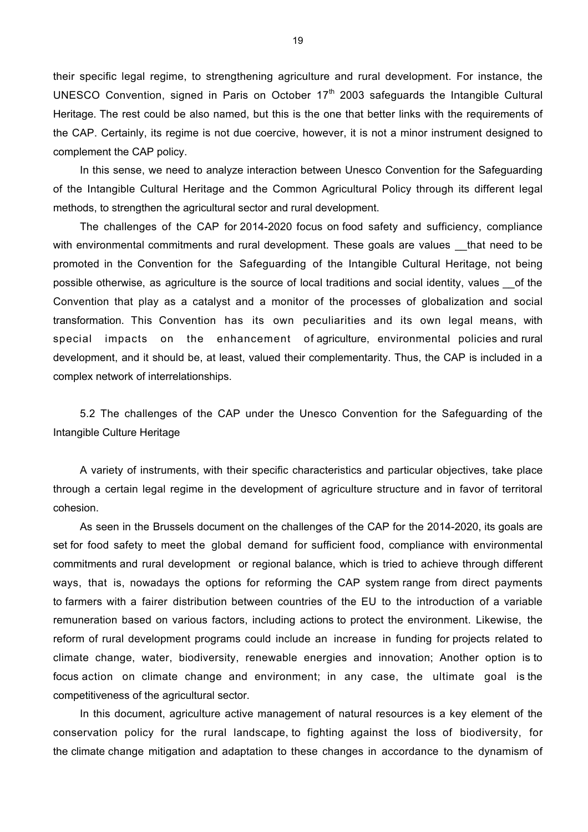their specific legal regime, to strengthening agriculture and rural development. For instance, the UNESCO Convention, signed in Paris on October  $17<sup>th</sup>$  2003 safeguards the Intangible Cultural Heritage. The rest could be also named, but this is the one that better links with the requirements of the CAP. Certainly, its regime is not due coercive, however, it is not a minor instrument designed to complement the CAP policy.

In this sense, we need to analyze interaction between Unesco Convention for the Safeguarding of the Intangible Cultural Heritage and the Common Agricultural Policy through its different legal methods, to strengthen the agricultural sector and rural development.

The challenges of the CAP for 2014-2020 focus on food safety and sufficiency, compliance with environmental commitments and rural development. These goals are values that need to be promoted in the Convention for the Safeguarding of the Intangible Cultural Heritage, not being possible otherwise, as agriculture is the source of local traditions and social identity, values of the Convention that play as a catalyst and a monitor of the processes of globalization and social transformation. This Convention has its own peculiarities and its own legal means, with special impacts on the enhancement of agriculture, environmental policies and rural development, and it should be, at least, valued their complementarity. Thus, the CAP is included in a complex network of interrelationships.

5.2 The challenges of the CAP under the Unesco Convention for the Safeguarding of the Intangible Culture Heritage

A variety of instruments, with their specific characteristics and particular objectives, take place through a certain legal regime in the development of agriculture structure and in favor of territoral cohesion.

As seen in the Brussels document on the challenges of the CAP for the 2014-2020, its goals are set for food safety to meet the global demand for sufficient food, compliance with environmental commitments and rural development or regional balance, which is tried to achieve through different ways, that is, nowadays the options for reforming the CAP system range from direct payments to farmers with a fairer distribution between countries of the EU to the introduction of a variable remuneration based on various factors, including actions to protect the environment. Likewise, the reform of rural development programs could include an increase in funding for projects related to climate change, water, biodiversity, renewable energies and innovation; Another option is to focus action on climate change and environment; in any case, the ultimate goal is the competitiveness of the agricultural sector.

In this document, agriculture active management of natural resources is a key element of the conservation policy for the rural landscape, to fighting against the loss of biodiversity, for the climate change mitigation and adaptation to these changes in accordance to the dynamism of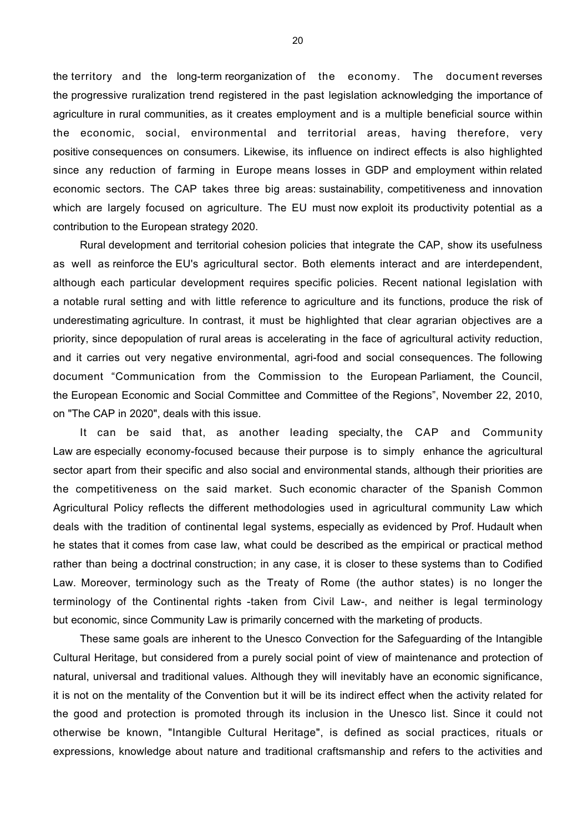the territory and the long-term reorganization of the economy. The document reverses the progressive ruralization trend registered in the past legislation acknowledging the importance of agriculture in rural communities, as it creates employment and is a multiple beneficial source within the economic, social, environmental and territorial areas, having therefore, very positive consequences on consumers. Likewise, its influence on indirect effects is also highlighted since any reduction of farming in Europe means losses in GDP and employment within related economic sectors. The CAP takes three big areas: sustainability, competitiveness and innovation which are largely focused on agriculture. The EU must now exploit its productivity potential as a contribution to the European strategy 2020.

Rural development and territorial cohesion policies that integrate the CAP, show its usefulness as well as reinforce the EU's agricultural sector. Both elements interact and are interdependent, although each particular development requires specific policies. Recent national legislation with a notable rural setting and with little reference to agriculture and its functions, produce the risk of underestimating agriculture. In contrast, it must be highlighted that clear agrarian objectives are a priority, since depopulation of rural areas is accelerating in the face of agricultural activity reduction, and it carries out very negative environmental, agri-food and social consequences. The following document "Communication from the Commission to the European Parliament, the Council, the European Economic and Social Committee and Committee of the Regions", November 22, 2010, on "The CAP in 2020", deals with this issue.

It can be said that, as another leading specialty, the CAP and Community Law are especially economy-focused because their purpose is to simply enhance the agricultural sector apart from their specific and also social and environmental stands, although their priorities are the competitiveness on the said market. Such economic character of the Spanish Common Agricultural Policy reflects the different methodologies used in agricultural community Law which deals with the tradition of continental legal systems, especially as evidenced by Prof. Hudault when he states that it comes from case law, what could be described as the empirical or practical method rather than being a doctrinal construction; in any case, it is closer to these systems than to Codified Law. Moreover, terminology such as the Treaty of Rome (the author states) is no longer the terminology of the Continental rights -taken from Civil Law-, and neither is legal terminology but economic, since Community Law is primarily concerned with the marketing of products.

These same goals are inherent to the Unesco Convection for the Safeguarding of the Intangible Cultural Heritage, but considered from a purely social point of view of maintenance and protection of natural, universal and traditional values. Although they will inevitably have an economic significance, it is not on the mentality of the Convention but it will be its indirect effect when the activity related for the good and protection is promoted through its inclusion in the Unesco list. Since it could not otherwise be known, "Intangible Cultural Heritage", is defined as social practices, rituals or expressions, knowledge about nature and traditional craftsmanship and refers to the activities and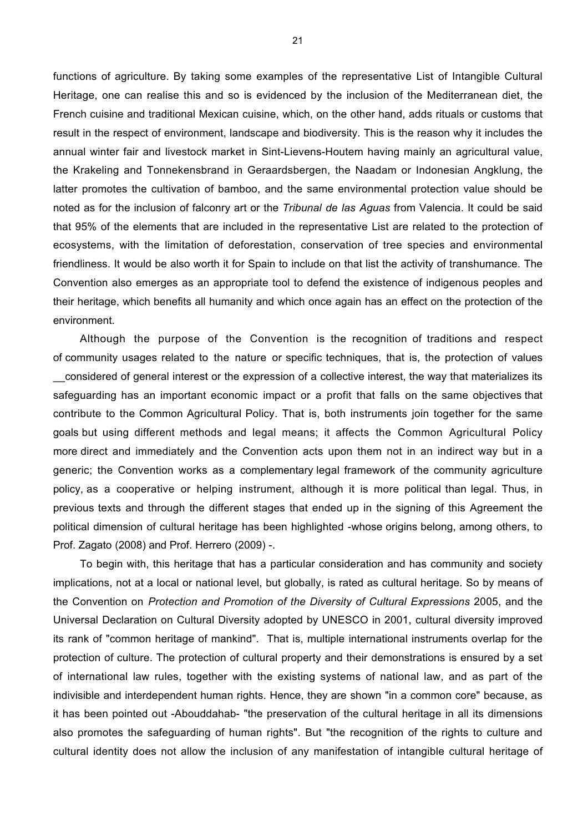functions of agriculture. By taking some examples of the representative List of Intangible Cultural Heritage, one can realise this and so is evidenced by the inclusion of the Mediterranean diet, the French cuisine and traditional Mexican cuisine, which, on the other hand, adds rituals or customs that result in the respect of environment, landscape and biodiversity. This is the reason why it includes the annual winter fair and livestock market in Sint-Lievens-Houtem having mainly an agricultural value, the Krakeling and Tonnekensbrand in Geraardsbergen, the Naadam or Indonesian Angklung, the latter promotes the cultivation of bamboo, and the same environmental protection value should be noted as for the inclusion of falconry art or the *Tribunal de las Aguas* from Valencia. It could be said that 95% of the elements that are included in the representative List are related to the protection of ecosystems, with the limitation of deforestation, conservation of tree species and environmental friendliness. It would be also worth it for Spain to include on that list the activity of transhumance. The Convention also emerges as an appropriate tool to defend the existence of indigenous peoples and their heritage, which benefits all humanity and which once again has an effect on the protection of the environment.

Although the purpose of the Convention is the recognition of traditions and respect of community usages related to the nature or specific techniques, that is, the protection of values \_\_considered of general interest or the expression of a collective interest, the way that materializes its safeguarding has an important economic impact or a profit that falls on the same objectives that contribute to the Common Agricultural Policy. That is, both instruments join together for the same goals but using different methods and legal means; it affects the Common Agricultural Policy more direct and immediately and the Convention acts upon them not in an indirect way but in a generic; the Convention works as a complementary legal framework of the community agriculture policy, as a cooperative or helping instrument, although it is more political than legal. Thus, in previous texts and through the different stages that ended up in the signing of this Agreement the political dimension of cultural heritage has been highlighted -whose origins belong, among others, to Prof. Zagato (2008) and Prof. Herrero (2009) -.

To begin with, this heritage that has a particular consideration and has community and society implications, not at a local or national level, but globally, is rated as cultural heritage. So by means of the Convention on *Protection and Promotion of the Diversity of Cultural Expressions* 2005, and the Universal Declaration on Cultural Diversity adopted by UNESCO in 2001, cultural diversity improved its rank of "common heritage of mankind". That is, multiple international instruments overlap for the protection of culture. The protection of cultural property and their demonstrations is ensured by a set of international law rules, together with the existing systems of national law, and as part of the indivisible and interdependent human rights. Hence, they are shown "in a common core" because, as it has been pointed out -Abouddahab- "the preservation of the cultural heritage in all its dimensions also promotes the safeguarding of human rights". But "the recognition of the rights to culture and cultural identity does not allow the inclusion of any manifestation of intangible cultural heritage of

21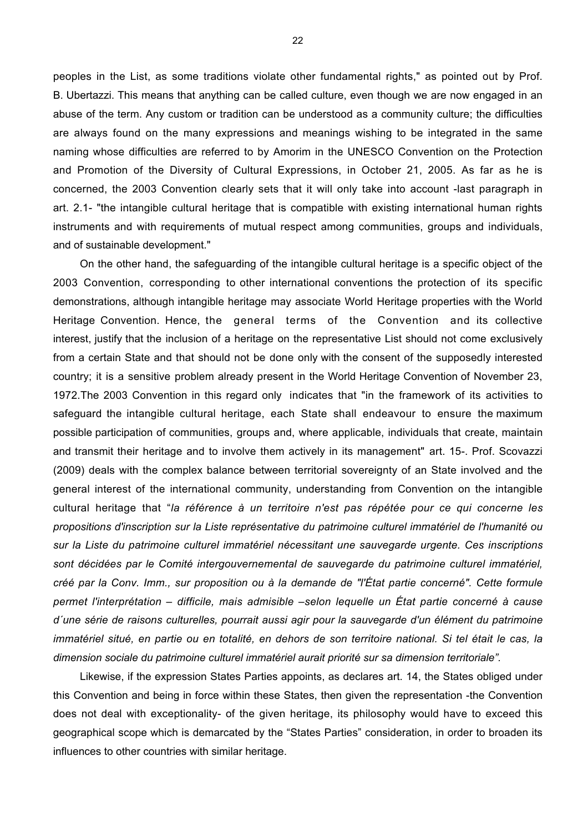peoples in the List, as some traditions violate other fundamental rights," as pointed out by Prof. B. Ubertazzi. This means that anything can be called culture, even though we are now engaged in an abuse of the term. Any custom or tradition can be understood as a community culture; the difficulties are always found on the many expressions and meanings wishing to be integrated in the same naming whose difficulties are referred to by Amorim in the UNESCO Convention on the Protection and Promotion of the Diversity of Cultural Expressions, in October 21, 2005. As far as he is concerned, the 2003 Convention clearly sets that it will only take into account -last paragraph in art. 2.1- "the intangible cultural heritage that is compatible with existing international human rights instruments and with requirements of mutual respect among communities, groups and individuals, and of sustainable development."

On the other hand, the safeguarding of the intangible cultural heritage is a specific object of the 2003 Convention, corresponding to other international conventions the protection of its specific demonstrations, although intangible heritage may associate World Heritage properties with the World Heritage Convention. Hence, the general terms of the Convention and its collective interest, justify that the inclusion of a heritage on the representative List should not come exclusively from a certain State and that should not be done only with the consent of the supposedly interested country; it is a sensitive problem already present in the World Heritage Convention of November 23, 1972.The 2003 Convention in this regard only indicates that "in the framework of its activities to safeguard the intangible cultural heritage, each State shall endeavour to ensure the maximum possible participation of communities, groups and, where applicable, individuals that create, maintain and transmit their heritage and to involve them actively in its management" art. 15-. Prof. Scovazzi (2009) deals with the complex balance between territorial sovereignty of an State involved and the general interest of the international community, understanding from Convention on the intangible cultural heritage that "*la référence à un territoire n'est pas répétée pour ce qui concerne les propositions d'inscription sur la Liste représentative du patrimoine culturel immatériel de l'humanité ou sur la Liste du patrimoine culturel immatériel nécessitant une sauvegarde urgente. Ces inscriptions sont décidées par le Comité intergouvernemental de sauvegarde du patrimoine culturel immatériel, créé par la Conv. Imm., sur proposition ou à la demande de "l'État partie concerné". Cette formule permet l'interprétation – difficile, mais admisible –selon lequelle un État partie concerné à cause d´une série de raisons culturelles, pourrait aussi agir pour la sauvegarde d'un élément du patrimoine immatériel situé, en partie ou en totalité, en dehors de son territoire national. Si tel était le cas, la dimension sociale du patrimoine culturel immatériel aurait priorité sur sa dimension territoriale".*

Likewise, if the expression States Parties appoints, as declares art. 14, the States obliged under this Convention and being in force within these States, then given the representation -the Convention does not deal with exceptionality- of the given heritage, its philosophy would have to exceed this geographical scope which is demarcated by the "States Parties" consideration, in order to broaden its influences to other countries with similar heritage.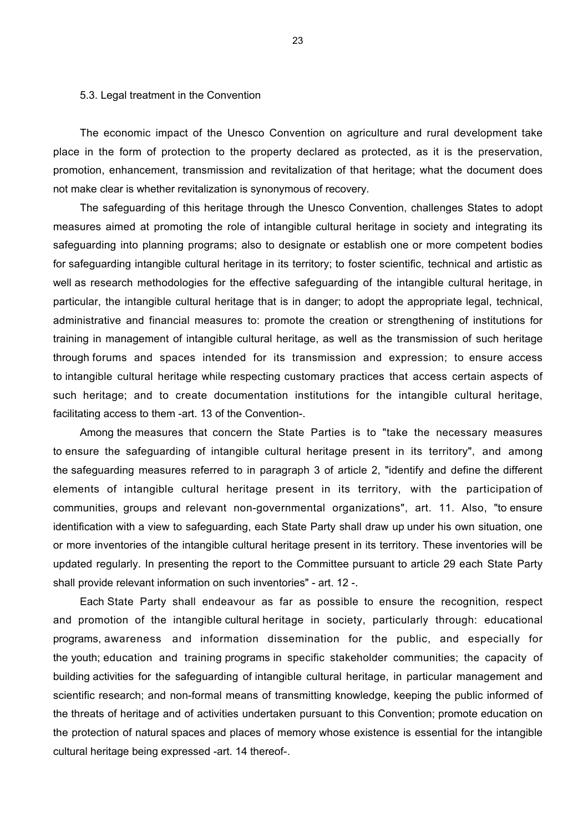### 5.3. Legal treatment in the Convention

The economic impact of the Unesco Convention on agriculture and rural development take place in the form of protection to the property declared as protected, as it is the preservation, promotion, enhancement, transmission and revitalization of that heritage; what the document does not make clear is whether revitalization is synonymous of recovery.

The safeguarding of this heritage through the Unesco Convention, challenges States to adopt measures aimed at promoting the role of intangible cultural heritage in society and integrating its safeguarding into planning programs; also to designate or establish one or more competent bodies for safeguarding intangible cultural heritage in its territory; to foster scientific, technical and artistic as well as research methodologies for the effective safeguarding of the intangible cultural heritage, in particular, the intangible cultural heritage that is in danger; to adopt the appropriate legal, technical, administrative and financial measures to: promote the creation or strengthening of institutions for training in management of intangible cultural heritage, as well as the transmission of such heritage through forums and spaces intended for its transmission and expression; to ensure access to intangible cultural heritage while respecting customary practices that access certain aspects of such heritage; and to create documentation institutions for the intangible cultural heritage, facilitating access to them -art. 13 of the Convention-.

Among the measures that concern the State Parties is to "take the necessary measures to ensure the safeguarding of intangible cultural heritage present in its territory", and among the safeguarding measures referred to in paragraph 3 of article 2, "identify and define the different elements of intangible cultural heritage present in its territory, with the participation of communities, groups and relevant non-governmental organizations", art. 11. Also, "to ensure identification with a view to safeguarding, each State Party shall draw up under his own situation, one or more inventories of the intangible cultural heritage present in its territory. These inventories will be updated regularly. In presenting the report to the Committee pursuant to article 29 each State Party shall provide relevant information on such inventories" - art. 12 -.

Each State Party shall endeavour as far as possible to ensure the recognition, respect and promotion of the intangible cultural heritage in society, particularly through: educational programs, awareness and information dissemination for the public, and especially for the youth; education and training programs in specific stakeholder communities; the capacity of building activities for the safeguarding of intangible cultural heritage, in particular management and scientific research; and non-formal means of transmitting knowledge, keeping the public informed of the threats of heritage and of activities undertaken pursuant to this Convention; promote education on the protection of natural spaces and places of memory whose existence is essential for the intangible cultural heritage being expressed -art. 14 thereof-.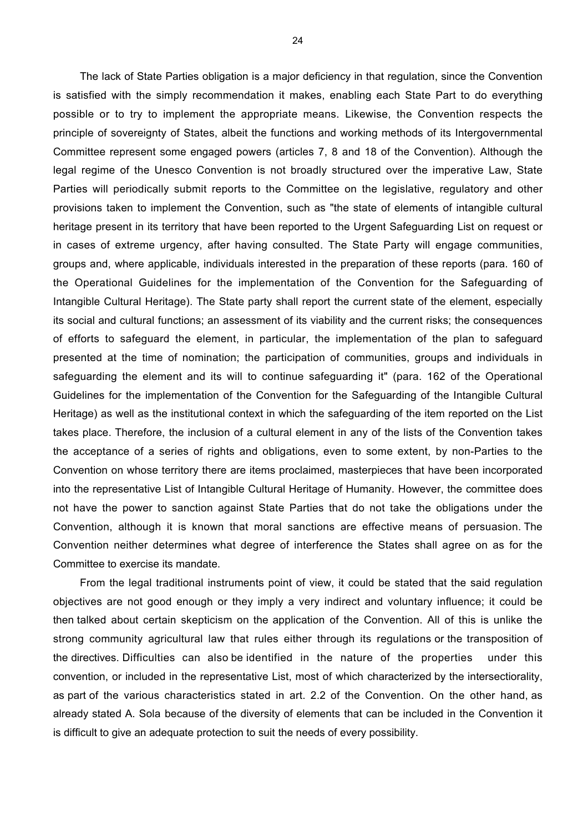The lack of State Parties obligation is a major deficiency in that regulation, since the Convention is satisfied with the simply recommendation it makes, enabling each State Part to do everything possible or to try to implement the appropriate means. Likewise, the Convention respects the principle of sovereignty of States, albeit the functions and working methods of its Intergovernmental Committee represent some engaged powers (articles 7, 8 and 18 of the Convention). Although the legal regime of the Unesco Convention is not broadly structured over the imperative Law, State Parties will periodically submit reports to the Committee on the legislative, regulatory and other provisions taken to implement the Convention, such as "the state of elements of intangible cultural heritage present in its territory that have been reported to the Urgent Safeguarding List on request or in cases of extreme urgency, after having consulted. The State Party will engage communities, groups and, where applicable, individuals interested in the preparation of these reports (para. 160 of the Operational Guidelines for the implementation of the Convention for the Safeguarding of Intangible Cultural Heritage). The State party shall report the current state of the element, especially its social and cultural functions; an assessment of its viability and the current risks; the consequences of efforts to safeguard the element, in particular, the implementation of the plan to safeguard presented at the time of nomination; the participation of communities, groups and individuals in safeguarding the element and its will to continue safeguarding it" (para. 162 of the Operational Guidelines for the implementation of the Convention for the Safeguarding of the Intangible Cultural Heritage) as well as the institutional context in which the safeguarding of the item reported on the List takes place. Therefore, the inclusion of a cultural element in any of the lists of the Convention takes the acceptance of a series of rights and obligations, even to some extent, by non-Parties to the Convention on whose territory there are items proclaimed, masterpieces that have been incorporated into the representative List of Intangible Cultural Heritage of Humanity. However, the committee does not have the power to sanction against State Parties that do not take the obligations under the Convention, although it is known that moral sanctions are effective means of persuasion. The Convention neither determines what degree of interference the States shall agree on as for the Committee to exercise its mandate.

From the legal traditional instruments point of view, it could be stated that the said regulation objectives are not good enough or they imply a very indirect and voluntary influence; it could be then talked about certain skepticism on the application of the Convention. All of this is unlike the strong community agricultural law that rules either through its regulations or the transposition of the directives. Difficulties can also be identified in the nature of the properties under this convention, or included in the representative List, most of which characterized by the intersectiorality, as part of the various characteristics stated in art. 2.2 of the Convention. On the other hand, as already stated A. Sola because of the diversity of elements that can be included in the Convention it is difficult to give an adequate protection to suit the needs of every possibility.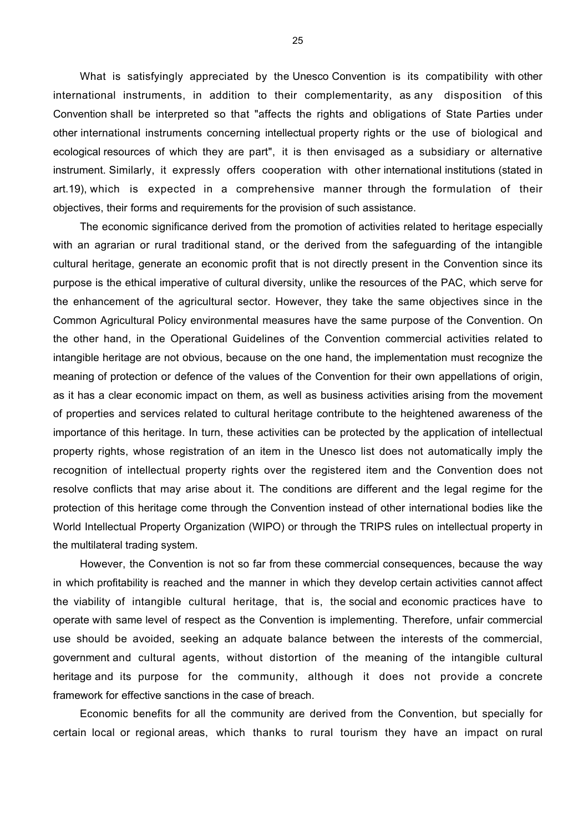What is satisfyingly appreciated by the Unesco Convention is its compatibility with other international instruments, in addition to their complementarity, as any disposition of this Convention shall be interpreted so that "affects the rights and obligations of State Parties under other international instruments concerning intellectual property rights or the use of biological and ecological resources of which they are part", it is then envisaged as a subsidiary or alternative instrument. Similarly, it expressly offers cooperation with other international institutions (stated in art.19), which is expected in a comprehensive manner through the formulation of their objectives, their forms and requirements for the provision of such assistance.

The economic significance derived from the promotion of activities related to heritage especially with an agrarian or rural traditional stand, or the derived from the safeguarding of the intangible cultural heritage, generate an economic profit that is not directly present in the Convention since its purpose is the ethical imperative of cultural diversity, unlike the resources of the PAC, which serve for the enhancement of the agricultural sector. However, they take the same objectives since in the Common Agricultural Policy environmental measures have the same purpose of the Convention. On the other hand, in the Operational Guidelines of the Convention commercial activities related to intangible heritage are not obvious, because on the one hand, the implementation must recognize the meaning of protection or defence of the values of the Convention for their own appellations of origin, as it has a clear economic impact on them, as well as business activities arising from the movement of properties and services related to cultural heritage contribute to the heightened awareness of the importance of this heritage. In turn, these activities can be protected by the application of intellectual property rights, whose registration of an item in the Unesco list does not automatically imply the recognition of intellectual property rights over the registered item and the Convention does not resolve conflicts that may arise about it. The conditions are different and the legal regime for the protection of this heritage come through the Convention instead of other international bodies like the World Intellectual Property Organization (WIPO) or through the TRIPS rules on intellectual property in the multilateral trading system.

However, the Convention is not so far from these commercial consequences, because the way in which profitability is reached and the manner in which they develop certain activities cannot affect the viability of intangible cultural heritage, that is, the social and economic practices have to operate with same level of respect as the Convention is implementing. Therefore, unfair commercial use should be avoided, seeking an adquate balance between the interests of the commercial, government and cultural agents, without distortion of the meaning of the intangible cultural heritage and its purpose for the community, although it does not provide a concrete framework for effective sanctions in the case of breach.

Economic benefits for all the community are derived from the Convention, but specially for certain local or regional areas, which thanks to rural tourism they have an impact on rural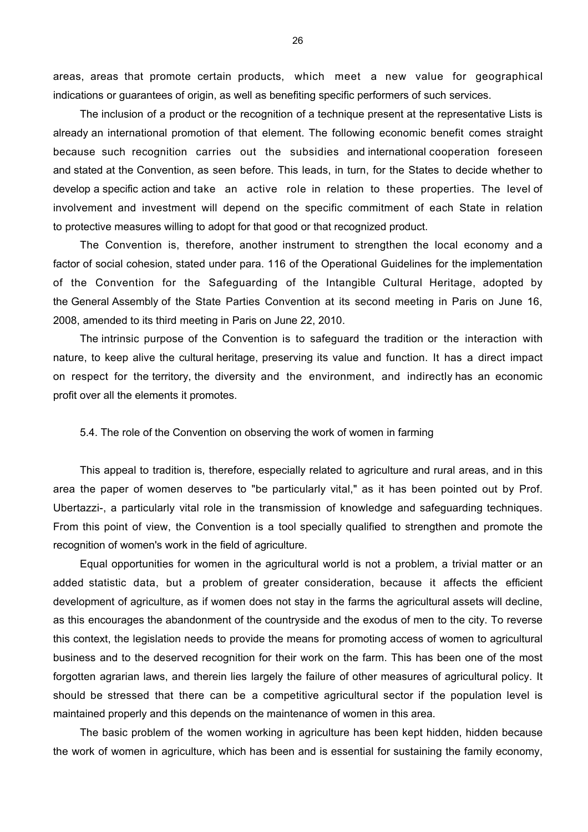areas, areas that promote certain products, which meet a new value for geographical indications or guarantees of origin, as well as benefiting specific performers of such services.

The inclusion of a product or the recognition of a technique present at the representative Lists is already an international promotion of that element. The following economic benefit comes straight because such recognition carries out the subsidies and international cooperation foreseen and stated at the Convention, as seen before. This leads, in turn, for the States to decide whether to develop a specific action and take an active role in relation to these properties. The level of involvement and investment will depend on the specific commitment of each State in relation to protective measures willing to adopt for that good or that recognized product.

The Convention is, therefore, another instrument to strengthen the local economy and a factor of social cohesion, stated under para. 116 of the Operational Guidelines for the implementation of the Convention for the Safeguarding of the Intangible Cultural Heritage, adopted by the General Assembly of the State Parties Convention at its second meeting in Paris on June 16, 2008, amended to its third meeting in Paris on June 22, 2010.

The intrinsic purpose of the Convention is to safeguard the tradition or the interaction with nature, to keep alive the cultural heritage, preserving its value and function. It has a direct impact on respect for the territory, the diversity and the environment, and indirectly has an economic profit over all the elements it promotes.

### 5.4. The role of the Convention on observing the work of women in farming

This appeal to tradition is, therefore, especially related to agriculture and rural areas, and in this area the paper of women deserves to "be particularly vital," as it has been pointed out by Prof. Ubertazzi-, a particularly vital role in the transmission of knowledge and safeguarding techniques. From this point of view, the Convention is a tool specially qualified to strengthen and promote the recognition of women's work in the field of agriculture.

Equal opportunities for women in the agricultural world is not a problem, a trivial matter or an added statistic data, but a problem of greater consideration, because it affects the efficient development of agriculture, as if women does not stay in the farms the agricultural assets will decline, as this encourages the abandonment of the countryside and the exodus of men to the city. To reverse this context, the legislation needs to provide the means for promoting access of women to agricultural business and to the deserved recognition for their work on the farm. This has been one of the most forgotten agrarian laws, and therein lies largely the failure of other measures of agricultural policy. It should be stressed that there can be a competitive agricultural sector if the population level is maintained properly and this depends on the maintenance of women in this area.

The basic problem of the women working in agriculture has been kept hidden, hidden because the work of women in agriculture, which has been and is essential for sustaining the family economy,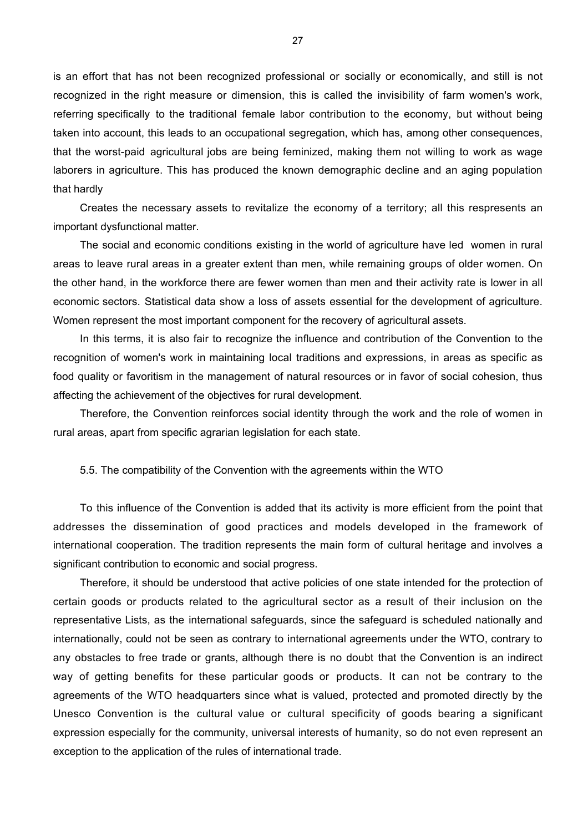is an effort that has not been recognized professional or socially or economically, and still is not recognized in the right measure or dimension, this is called the invisibility of farm women's work, referring specifically to the traditional female labor contribution to the economy, but without being taken into account, this leads to an occupational segregation, which has, among other consequences, that the worst-paid agricultural jobs are being feminized, making them not willing to work as wage laborers in agriculture. This has produced the known demographic decline and an aging population that hardly

Creates the necessary assets to revitalize the economy of a territory; all this respresents an important dysfunctional matter.

The social and economic conditions existing in the world of agriculture have led women in rural areas to leave rural areas in a greater extent than men, while remaining groups of older women. On the other hand, in the workforce there are fewer women than men and their activity rate is lower in all economic sectors. Statistical data show a loss of assets essential for the development of agriculture. Women represent the most important component for the recovery of agricultural assets.

In this terms, it is also fair to recognize the influence and contribution of the Convention to the recognition of women's work in maintaining local traditions and expressions, in areas as specific as food quality or favoritism in the management of natural resources or in favor of social cohesion, thus affecting the achievement of the objectives for rural development.

Therefore, the Convention reinforces social identity through the work and the role of women in rural areas, apart from specific agrarian legislation for each state.

### 5.5. The compatibility of the Convention with the agreements within the WTO

To this influence of the Convention is added that its activity is more efficient from the point that addresses the dissemination of good practices and models developed in the framework of international cooperation. The tradition represents the main form of cultural heritage and involves a significant contribution to economic and social progress.

Therefore, it should be understood that active policies of one state intended for the protection of certain goods or products related to the agricultural sector as a result of their inclusion on the representative Lists, as the international safeguards, since the safeguard is scheduled nationally and internationally, could not be seen as contrary to international agreements under the WTO, contrary to any obstacles to free trade or grants, although there is no doubt that the Convention is an indirect way of getting benefits for these particular goods or products. It can not be contrary to the agreements of the WTO headquarters since what is valued, protected and promoted directly by the Unesco Convention is the cultural value or cultural specificity of goods bearing a significant expression especially for the community, universal interests of humanity, so do not even represent an exception to the application of the rules of international trade.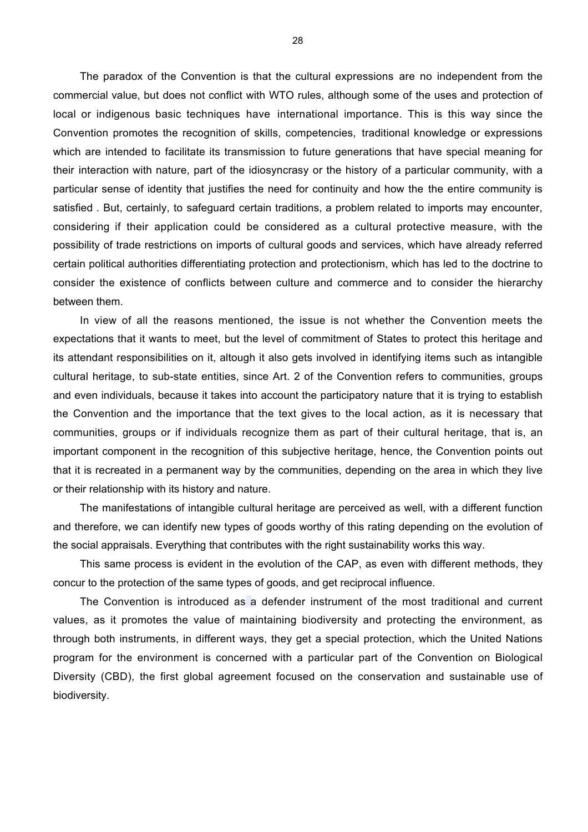The paradox of the Convention is that the cultural expressions are no independent from the commercial value, but does not conflict with WTO rules, although some of the uses and protection of local or indigenous basic techniques have international importance. This is this way since the Convention promotes the recognition of skills, competencies, traditional knowledge or expressions which are intended to facilitate its transmission to future generations that have special meaning for their interaction with nature, part of the idiosyncrasy or the history of a particular community, with a particular sense of identity that justifies the need for continuity and how the the entire community is satisfied . But, certainly, to safeguard certain traditions, a problem related to imports may encounter, considering if their application could be considered as a cultural protective measure, with the possibility of trade restrictions on imports of cultural goods and services, which have already referred certain political authorities differentiating protection and protectionism, which has led to the doctrine to consider the existence of conflicts between culture and commerce and to consider the hierarchy between them.

In view of all the reasons mentioned, the issue is not whether the Convention meets the expectations that it wants to meet, but the level of commitment of States to protect this heritage and its attendant responsibilities on it, altough it also gets involved in identifying items such as intangible cultural heritage, to sub-state entities, since Art. 2 of the Convention refers to communities, groups and even individuals, because it takes into account the participatory nature that it is trying to establish the Convention and the importance that the text gives to the local action, as it is necessary that communities, groups or if individuals recognize them as part of their cultural heritage, that is, an important component in the recognition of this subjective heritage, hence, the Convention points out that it is recreated in a permanent way by the communities, depending on the area in which they live or their relationship with its history and nature.

The manifestations of intangible cultural heritage are perceived as well, with a different function and therefore, we can identify new types of goods worthy of this rating depending on the evolution of the social appraisals. Everything that contributes with the right sustainability works this way.

This same process is evident in the evolution of the CAP, as even with different methods, they concur to the protection of the same types of goods, and get reciprocal influence.

The Convention is introduced as a defender instrument of the most traditional and current values, as it promotes the value of maintaining biodiversity and protecting the environment, as through both instruments, in different ways, they get a special protection, which the United Nations program for the environment is concerned with a particular part of the Convention on Biological Diversity (CBD), the first global agreement focused on the conservation and sustainable use of biodiversity.

28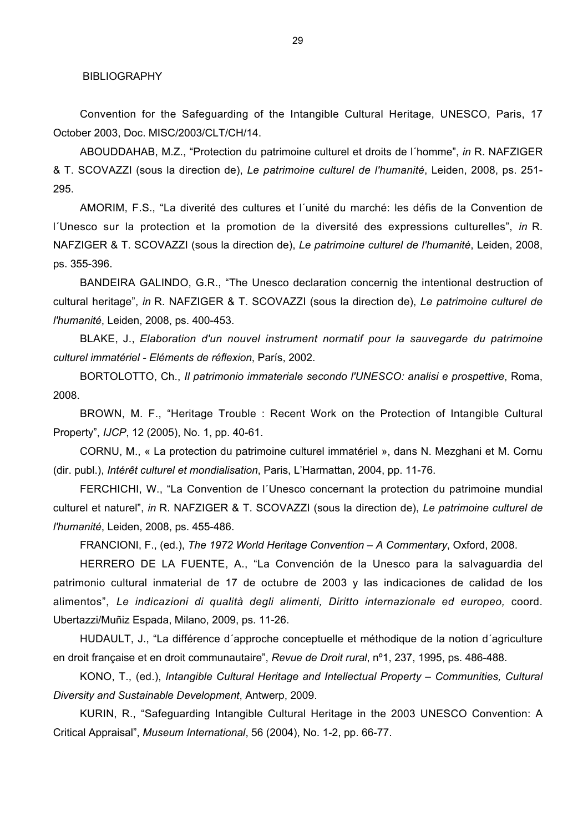BIBLIOGRAPHY

Convention for the Safeguarding of the Intangible Cultural Heritage, UNESCO, Paris, 17 October 2003, Doc. MISC/2003/CLT/CH/14.

ABOUDDAHAB, M.Z., "Protection du patrimoine culturel et droits de l´homme", *in* R. NAFZIGER & T. SCOVAZZI (sous la direction de), *Le patrimoine culturel de l'humanité*, Leiden, 2008, ps. 251- 295.

AMORIM, F.S., "La diverité des cultures et l´unité du marché: les défis de la Convention de l´Unesco sur la protection et la promotion de la diversité des expressions culturelles", *in* R. NAFZIGER & T. SCOVAZZI (sous la direction de), *Le patrimoine culturel de l'humanité*, Leiden, 2008, ps. 355-396.

BANDEIRA GALINDO, G.R., "The Unesco declaration concernig the intentional destruction of cultural heritage", *in* R. NAFZIGER & T. SCOVAZZI (sous la direction de), *Le patrimoine culturel de l'humanité*, Leiden, 2008, ps. 400-453.

BLAKE, J., *Elaboration d'un nouvel instrument normatif pour la sauvegarde du patrimoine culturel immatériel - Eléments de réflexion*, París, 2002.

BORTOLOTTO, Ch., *Il patrimonio immateriale secondo l'UNESCO: analisi e prospettive*, Roma, 2008.

BROWN, M. F., "Heritage Trouble : Recent Work on the Protection of Intangible Cultural Property", *IJCP*, 12 (2005), No. 1, pp. 40-61.

CORNU, M., « La protection du patrimoine culturel immatériel », dans N. Mezghani et M. Cornu (dir. publ.), *Intérêt culturel et mondialisation*, Paris, L'Harmattan, 2004, pp. 11-76.

FERCHICHI, W., "La Convention de l´Unesco concernant la protection du patrimoine mundial culturel et naturel", *in* R. NAFZIGER & T. SCOVAZZI (sous la direction de), *Le patrimoine culturel de l'humanité*, Leiden, 2008, ps. 455-486.

FRANCIONI, F., (ed.), *The 1972 World Heritage Convention – A Commentary*, Oxford, 2008.

HERRERO DE LA FUENTE, A., "La Convención de la Unesco para la salvaguardia del patrimonio cultural inmaterial de 17 de octubre de 2003 y las indicaciones de calidad de los alimentos", *Le indicazioni di qualità degli alimenti, Diritto internazionale ed europeo,* coord. Ubertazzi/Muñiz Espada, Milano, 2009, ps. 11-26.

HUDAULT, J., "La différence d´approche conceptuelle et méthodique de la notion d´agriculture en droit française et en droit communautaire", *Revue de Droit rural*, nº1, 237, 1995, ps. 486-488.

KONO, T., (ed.), *Intangible Cultural Heritage and Intellectual Property – Communities, Cultural Diversity and Sustainable Development*, Antwerp, 2009.

KURIN, R., "Safeguarding Intangible Cultural Heritage in the 2003 UNESCO Convention: A Critical Appraisal", *Museum International*, 56 (2004), No. 1-2, pp. 66-77.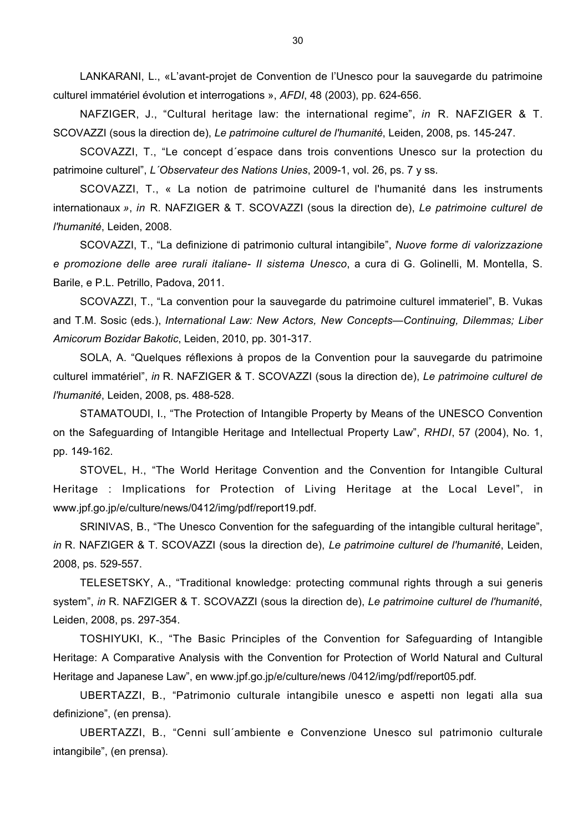LANKARANI, L., «L'avant-projet de Convention de l'Unesco pour la sauvegarde du patrimoine culturel immatériel évolution et interrogations », *AFDI*, 48 (2003), pp. 624-656.

NAFZIGER, J., "Cultural heritage law: the international regime", *in* R. NAFZIGER & T. SCOVAZZI (sous la direction de), *Le patrimoine culturel de l'humanité*, Leiden, 2008, ps. 145-247.

SCOVAZZI, T., "Le concept d´espace dans trois conventions Unesco sur la protection du patrimoine culturel", *L´Observateur des Nations Unies*, 2009-1, vol. 26, ps. 7 y ss.

SCOVAZZI, T., « La notion de patrimoine culturel de l'humanité dans les instruments internationaux *»*, *in* R. NAFZIGER & T. SCOVAZZI (sous la direction de), *Le patrimoine culturel de l'humanité*, Leiden, 2008.

SCOVAZZI, T., "La definizione di patrimonio cultural intangibile", *Nuove forme di valorizzazione e promozione delle aree rurali italiane- Il sistema Unesco*, a cura di G. Golinelli, M. Montella, S. Barile, e P.L. Petrillo, Padova, 2011.

SCOVAZZI, T., "La convention pour la sauvegarde du patrimoine culturel immateriel", B. Vukas and T.M. Sosic (eds.), *International Law: New Actors, New Concepts—Continuing, Dilemmas; Liber Amicorum Bozidar Bakotic*, Leiden, 2010, pp. 301-317.

SOLA, A. "Quelques réflexions à propos de la Convention pour la sauvegarde du patrimoine culturel immatériel", *in* R. NAFZIGER & T. SCOVAZZI (sous la direction de), *Le patrimoine culturel de l'humanité*, Leiden, 2008, ps. 488-528.

STAMATOUDI, I., "The Protection of Intangible Property by Means of the UNESCO Convention on the Safeguarding of Intangible Heritage and Intellectual Property Law", *RHDI*, 57 (2004), No. 1, pp. 149-162.

STOVEL, H., "The World Heritage Convention and the Convention for Intangible Cultural Heritage : Implications for Protection of Living Heritage at the Local Level", in www.jpf.go.jp/e/culture/news/0412/img/pdf/report19.pdf.

SRINIVAS, B., "The Unesco Convention for the safeguarding of the intangible cultural heritage", *in* R. NAFZIGER & T. SCOVAZZI (sous la direction de), *Le patrimoine culturel de l'humanité*, Leiden, 2008, ps. 529-557.

TELESETSKY, A., "Traditional knowledge: protecting communal rights through a sui generis system", *in* R. NAFZIGER & T. SCOVAZZI (sous la direction de), *Le patrimoine culturel de l'humanité*, Leiden, 2008, ps. 297-354.

TOSHIYUKI, K., "The Basic Principles of the Convention for Safeguarding of Intangible Heritage: A Comparative Analysis with the Convention for Protection of World Natural and Cultural Heritage and Japanese Law", en www.jpf.go.jp/e/culture/news /0412/img/pdf/report05.pdf*.*

UBERTAZZI, B., "Patrimonio culturale intangibile unesco e aspetti non legati alla sua definizione", (en prensa).

UBERTAZZI, B., "Cenni sull´ambiente e Convenzione Unesco sul patrimonio culturale intangibile", (en prensa).